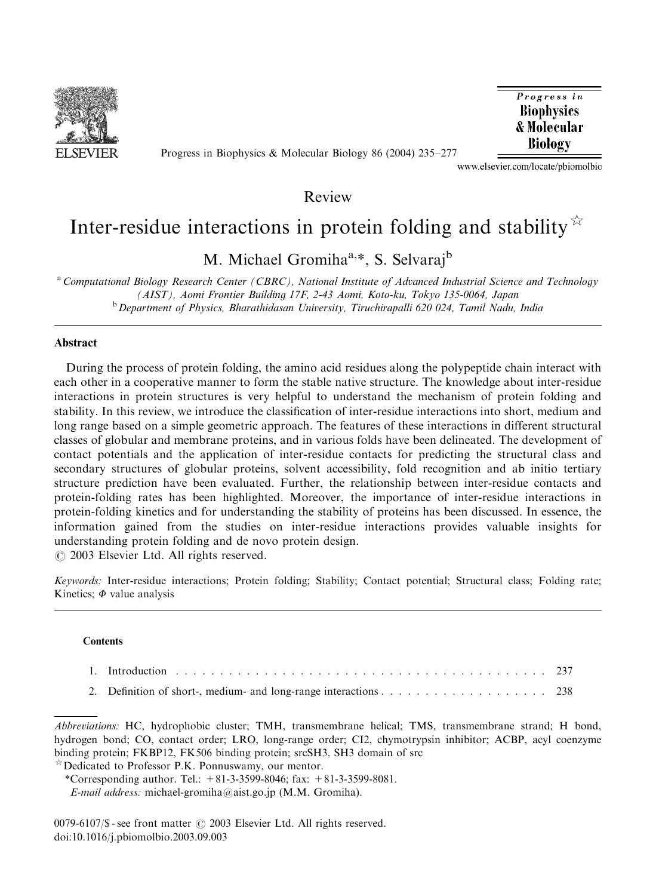

Progress in Biophysics & Molecular Biology 86 (2004) 235–277



www.elsevier.com/locate/pbiomolbio

## Review

# Inter-residue interactions in protein folding and stability  $\mathbb{R}^2$

M. Michael Gromiha<sup>a,\*</sup>, S. Selvaraj<sup>b</sup>

<sup>a</sup>*Computational Biology Research Center (CBRC), National Institute of Advanced Industrial Science and Technology (AIST), Aomi Frontier Building 17F, 2-43 Aomi, Koto-ku, Tokyo 135-0064, Japan* <sup>b</sup>*Department of Physics, Bharathidasan University, Tiruchirapalli 620 024, Tamil Nadu, India*

## **Abstract**

During the process of protein folding, the amino acid residues along the polypeptide chain interact with each other in a cooperative manner to form the stable native structure. The knowledge about inter-residue interactions in protein structures is very helpful to understand the mechanism of protein folding and stability. In this review, we introduce the classification of inter-residue interactions into short, medium and long range based on a simple geometric approach. The features of these interactions in different structural classes of globular and membrane proteins, and in various folds have been delineated. The development of contact potentials and the application of inter-residue contacts for predicting the structural class and secondary structures of globular proteins, solvent accessibility, fold recognition and ab initio tertiary structure prediction have been evaluated. Further, the relationship between inter-residue contacts and protein-folding rates has been highlighted. Moreover, the importance of inter-residue interactions in protein-folding kinetics and for understanding the stability of proteins has been discussed. In essence, the information gained from the studies on inter-residue interactions provides valuable insights for understanding protein folding and de novo protein design.  $\odot$  2003 Elsevier Ltd. All rights reserved.

*Keywords:* Inter-residue interactions; Protein folding; Stability; Contact potential; Structural class; Folding rate; Kinetics;  $\Phi$  value analysis

#### **Contents**

| 2. Definition of short-, medium- and long-range interactions 238 |  |
|------------------------------------------------------------------|--|

*Abbreviations:* HC, hydrophobic cluster; TMH, transmembrane helical; TMS, transmembrane strand; H bond, hydrogen bond; CO, contact order; LRO, long-range order; CI2, chymotrypsin inhibitor; ACBP, acyl coenzyme binding protein; FKBP12, FK506 binding protein; srcSH3, SH3 domain of src

Dedicated to Professor P.K. Ponnuswamy, our mentor.

\*Corresponding author. Tel.:  $+81-3-3599-8046$ ; fax:  $+81-3-3599-8081$ .

E-mail address: michael-gromiha@aist.go.jp (M.M. Gromiha).

0079-6107/\$ - see front matter  $\odot$  2003 Elsevier Ltd. All rights reserved. doi:10.1016/j.pbiomolbio.2003.09.003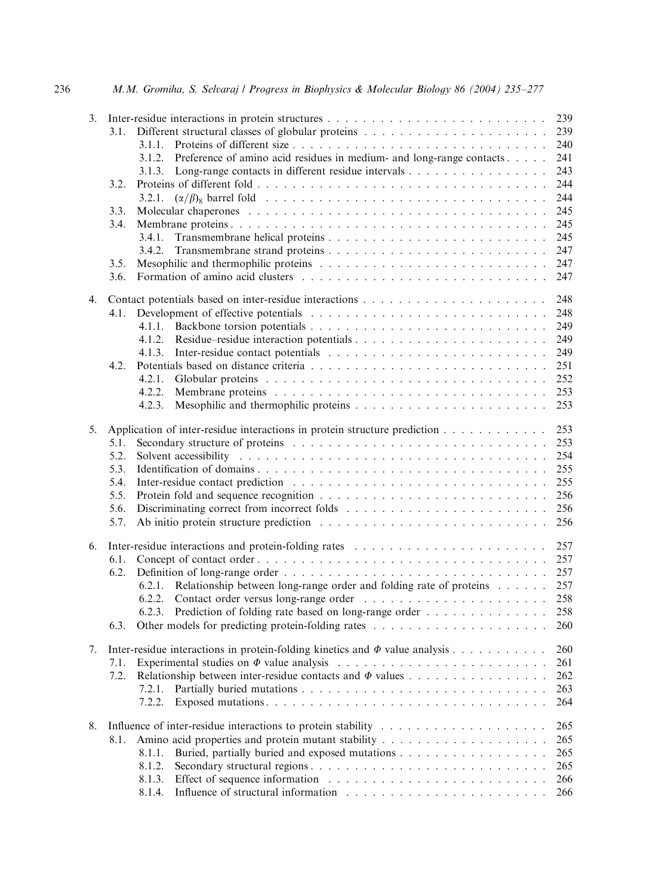| 3. |                                                                                     | 239 |
|----|-------------------------------------------------------------------------------------|-----|
|    | 3.1.                                                                                | 239 |
|    |                                                                                     | 240 |
|    | Preference of amino acid residues in medium- and long-range contacts<br>3.1.2.      | 241 |
|    | Long-range contacts in different residue intervals<br>3.1.3.                        | 243 |
|    | 3.2.                                                                                | 244 |
|    |                                                                                     | 244 |
|    | 3.3.                                                                                | 245 |
|    | 3.4.                                                                                | 245 |
|    | 3.4.1.                                                                              | 245 |
|    | 3.4.2.                                                                              | 247 |
|    | 3.5.                                                                                | 247 |
|    | 3.6.                                                                                | 247 |
| 4. |                                                                                     | 248 |
|    | 4.1.                                                                                | 248 |
|    |                                                                                     | 249 |
|    |                                                                                     | 249 |
|    |                                                                                     | 249 |
|    | 4.2.                                                                                | 251 |
|    | 4.2.1.                                                                              | 252 |
|    | 4.2.2.                                                                              | 253 |
|    | 4.2.3.                                                                              | 253 |
| 5. | Application of inter-residue interactions in protein structure prediction           | 253 |
|    | 5.1.                                                                                | 253 |
|    | 5.2.                                                                                | 254 |
|    | 5.3.                                                                                | 255 |
|    | 5.4.                                                                                | 255 |
|    | 5.5.                                                                                | 256 |
|    | 5.6.                                                                                | 256 |
|    | 5.7.                                                                                | 256 |
| 6. |                                                                                     | 257 |
|    | 6.1.                                                                                | 257 |
|    | 6.2.                                                                                | 257 |
|    |                                                                                     | 257 |
|    | Relationship between long-range order and folding rate of proteins<br>6.2.1.        |     |
|    | 6.2.2.                                                                              | 258 |
|    | Prediction of folding rate based on long-range order<br>6.2.3.                      | 258 |
|    | 6.3.                                                                                | 260 |
|    | 7. Inter-residue interactions in protein-folding kinetics and $\Phi$ value analysis | 260 |
|    | 7.1.                                                                                | 261 |
|    | 7.2.                                                                                | 262 |
|    | 7.2.1.                                                                              | 263 |
|    | 7.2.2.                                                                              | 264 |
| 8. |                                                                                     | 265 |
|    | 8.1.                                                                                | 265 |
|    | Buried, partially buried and exposed mutations<br>8.1.1.                            | 265 |
|    | 8.1.2.<br>Secondary structural regions                                              | 265 |
|    | 8.1.3.                                                                              | 266 |
|    | 8.1.4.                                                                              | 266 |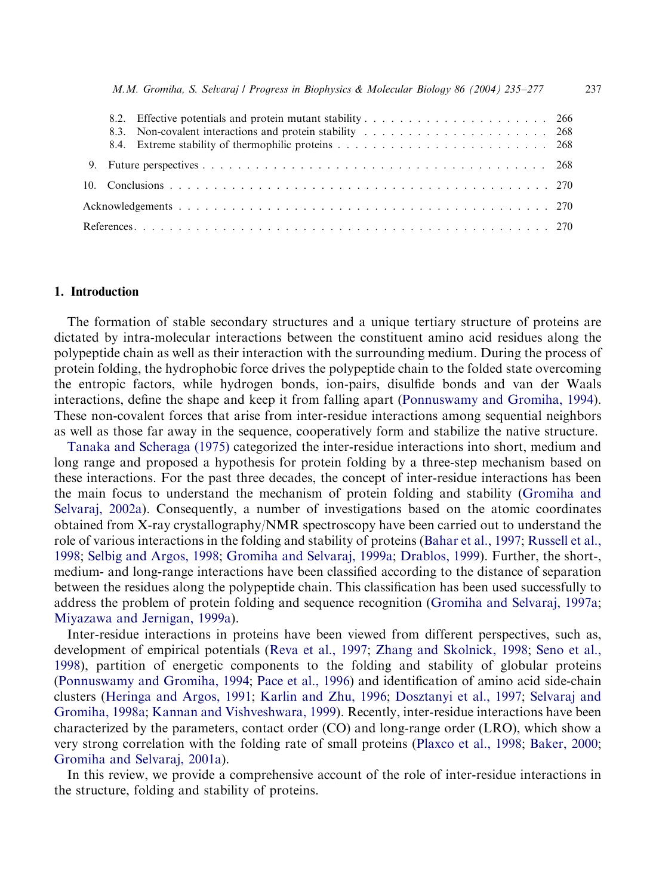## 1. Introduction

The formation of stable secondary structures and a unique tertiary structure of proteins are dictated by intra-molecular interactions between the constituent amino acid residues along the polypeptide chain as well as their interaction with the surrounding medium. During the process of protein folding, the hydrophobic force drives the polypeptide chain to the folded state overcoming the entropic factors, while hydrogen bonds, ion-pairs, disulfide bonds and van der Waals interactions, define the shape and keep it from falling apart (Ponnuswamy and Gromiha, 1994). These non-covalent forces that arise from inter-residue interactions among sequential neighbors as well as those far away in the sequence, cooperatively form and stabilize the native structure.

Tanaka and Scheraga (1975) categorized the inter-residue interactions into short, medium and long range and proposed a hypothesis for protein folding by a three-step mechanism based on these interactions. For the past three decades, the concept of inter-residue interactions has been the main focus to understand the mechanism of protein folding and stability (Gromiha and Selvaraj, 2002a). Consequently, a number of investigations based on the atomic coordinates obtained from X-ray crystallography/NMR spectroscopy have been carried out to understand the role of various interactions in the folding and stability of proteins (Bahar et al., 1997; Russell et al., 1998; Selbig and Argos, 1998; Gromiha and Selvaraj, 1999a; Drablos, 1999). Further, the short-, medium- and long-range interactions have been classified according to the distance of separation between the residues along the polypeptide chain. This classification has been used successfully to address the problem of protein folding and sequence recognition (Gromiha and Selvaraj, 1997a; Miyazawa and Jernigan, 1999a).

Inter-residue interactions in proteins have been viewed from different perspectives, such as, development of empirical potentials (Reva et al., 1997; Zhang and Skolnick, 1998; Seno et al., 1998), partition of energetic components to the folding and stability of globular proteins (Ponnuswamy and Gromiha, 1994; Pace et al., 1996) and identification of amino acid side-chain clusters (Heringa and Argos, 1991; Karlin and Zhu, 1996; Dosztanyi et al., 1997; Selvaraj and Gromiha, 1998a; Kannan and Vishveshwara, 1999). Recently, inter-residue interactions have been characterized by the parameters, contact order (CO) and long-range order (LRO), which show a very strong correlation with the folding rate of small proteins (Plaxco et al., 1998; Baker, 2000; Gromiha and Selvaraj, 2001a).

In this review, we provide a comprehensive account of the role of inter-residue interactions in the structure, folding and stability of proteins.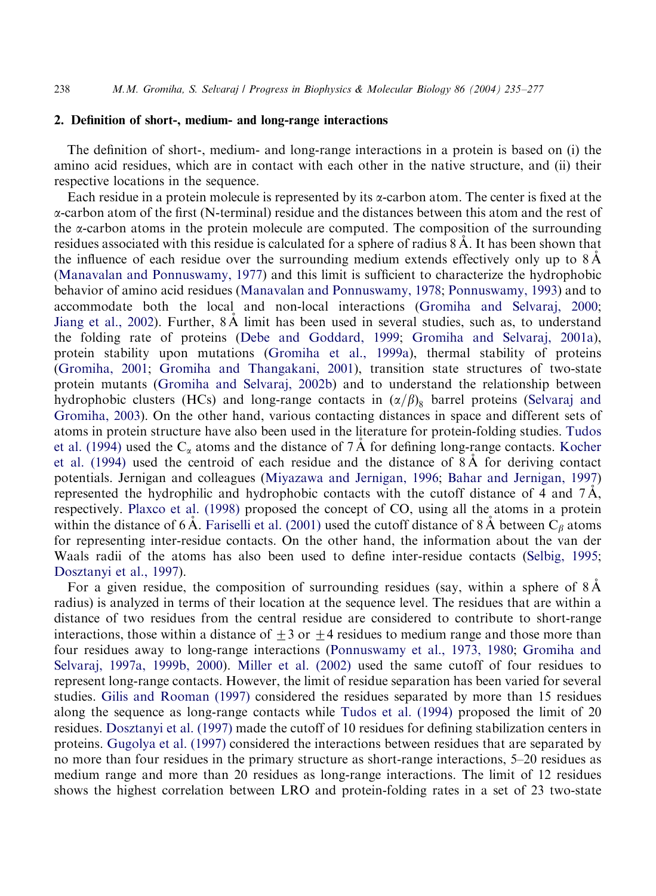#### 2. Definition of short-, medium- and long-range interactions

The definition of short-, medium- and long-range interactions in a protein is based on (i) the amino acid residues, which are in contact with each other in the native structure, and (ii) their respective locations in the sequence.

Each residue in a protein molecule is represented by its  $\alpha$ -carbon atom. The center is fixed at the  $\alpha$ -carbon atom of the first (N-terminal) residue and the distances between this atom and the rest of the  $\alpha$ -carbon atoms in the protein molecule are computed. The composition of the surrounding residues associated with this residue is calculated for a sphere of radius 8 A. It has been shown that ( the influence of each residue over the surrounding medium extends effectively only up to  $8\text{\AA}$ (Manavalan and Ponnuswamy, 1977) and this limit is sufficient to characterize the hydrophobic behavior of amino acid residues (Manavalan and Ponnuswamy, 1978; Ponnuswamy, 1993) and to accommodate both the local and non-local interactions (Gromiha and Selvaraj, 2000; Jiang et al., 2002). Further,  $8\text{\AA}$  limit has been used in several studies, such as, to understand the folding rate of proteins (Debe and Goddard, 1999; Gromiha and Selvaraj, 2001a), protein stability upon mutations (Gromiha et al., 1999a), thermal stability of proteins (Gromiha, 2001; Gromiha and Thangakani, 2001), transition state structures of two-state protein mutants (Gromiha and Selvaraj, 2002b) and to understand the relationship between hydrophobic clusters (HCs) and long-range contacts in  $(\alpha/\beta)_{8}$  barrel proteins (Selvaraj and Gromiha, 2003). On the other hand, various contacting distances in space and different sets of atoms in protein structure have also been used in the literature for protein-folding studies. Tudos et al. (1994) used the  $C_{\alpha}$  atoms and the distance of 7 Å for defining long-range contacts. Kocher et al. (1994) used the centroid of each residue and the distance of 8 A for deriving contact ( potentials. Jernigan and colleagues (Miyazawa and Jernigan, 1996; Bahar and Jernigan, 1997) represented the hydrophilic and hydrophobic contacts with the cutoff distance of 4 and 7 A, ( respectively. Plaxco et al. (1998) proposed the concept of CO, using all the atoms in a protein within the distance of  $6 \text{\AA}$ . Fariselli et al. (2001) used the cutoff distance of  $8 \text{\AA}$  between  $C_{\beta}$  atoms for representing inter-residue contacts. On the other hand, the information about the van der Waals radii of the atoms has also been used to define inter-residue contacts (Selbig, 1995; Dosztanyi et al., 1997).

For a given residue, the composition of surrounding residues (say, within a sphere of  $8\text{\AA}$ ) radius) is analyzed in terms of their location at the sequence level. The residues that are within a distance of two residues from the central residue are considered to contribute to short-range interactions, those within a distance of  $\pm 3$  or  $\pm 4$  residues to medium range and those more than four residues away to long-range interactions (Ponnuswamy et al., 1973, 1980; Gromiha and Selvaraj, 1997a, 1999b, 2000). Miller et al. (2002) used the same cutoff of four residues to represent long-range contacts. However, the limit of residue separation has been varied for several studies. Gilis and Rooman (1997) considered the residues separated by more than 15 residues along the sequence as long-range contacts while Tudos et al. (1994) proposed the limit of 20 residues. Dosztanyi et al. (1997) made the cutoff of 10 residues for defining stabilization centers in proteins. Gugolya et al. (1997) considered the interactions between residues that are separated by no more than four residues in the primary structure as short-range interactions, 5–20 residues as medium range and more than 20 residues as long-range interactions. The limit of 12 residues shows the highest correlation between LRO and protein-folding rates in a set of 23 two-state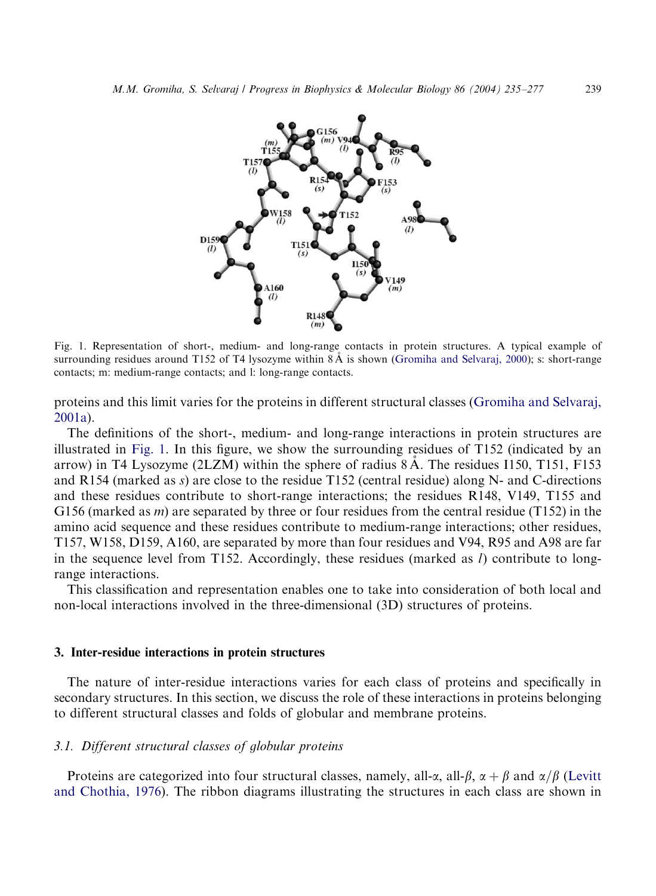

Fig. 1. Representation of short-, medium- and long-range contacts in protein structures. A typical example of surrounding residues around T152 of T4 lysozyme within  $8\text{\AA}$  is shown (Gromiha and Selvaraj, 2000); s: short-range contacts; m: medium-range contacts; and l: long-range contacts.

proteins and this limit varies for the proteins in different structural classes (Gromiha and Selvaraj, 2001a).

The definitions of the short-, medium- and long-range interactions in protein structures are illustrated in Fig. 1. In this figure, we show the surrounding residues of T152 (indicated by an arrow) in T4 Lysozyme (2LZM) within the sphere of radius  $8 \text{ Å}$ . The residues I150, T151, F153 and R154 (marked as *s*) are close to the residue T152 (central residue) along N- and C-directions and these residues contribute to short-range interactions; the residues R148, V149, T155 and G156 (marked as *m*) are separated by three or four residues from the central residue (T152) in the amino acid sequence and these residues contribute to medium-range interactions; other residues, T157, W158, D159, A160, are separated by more than four residues and V94, R95 and A98 are far in the sequence level from T152. Accordingly, these residues (marked as *l*) contribute to longrange interactions.

This classification and representation enables one to take into consideration of both local and non-local interactions involved in the three-dimensional (3D) structures of proteins.

## 3. Inter-residue interactions in protein structures

The nature of inter-residue interactions varies for each class of proteins and specifically in secondary structures. In this section, we discuss the role of these interactions in proteins belonging to different structural classes and folds of globular and membrane proteins.

## *3.1. Different structural classes of globular proteins*

Proteins are categorized into four structural classes, namely, all- $\alpha$ , all- $\beta$ ,  $\alpha + \beta$  and  $\alpha/\beta$  (Levitt and Chothia, 1976). The ribbon diagrams illustrating the structures in each class are shown in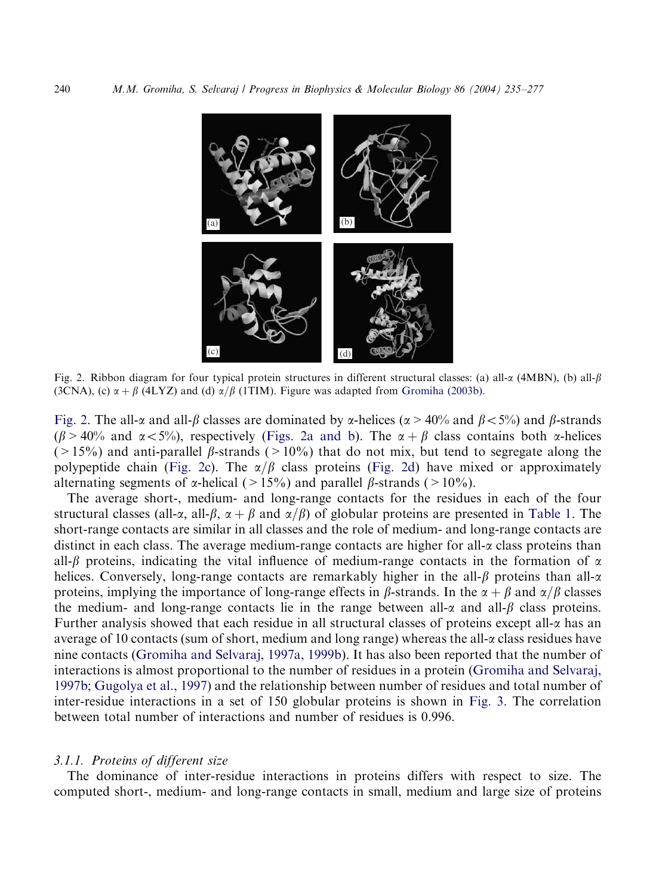

Fig. 2. Ribbon diagram for four typical protein structures in different structural classes: (a) all- $\alpha$  (4MBN), (b) all- $\beta$ (3CNA), (c)  $\alpha + \beta$  (4LYZ) and (d)  $\alpha/\beta$  (1TIM). Figure was adapted from Gromiha (2003b).

Fig. 2. The all- $\alpha$  and all- $\beta$  classes are dominated by  $\alpha$ -helices ( $\alpha > 40\%$  and  $\beta < 5\%$ ) and  $\beta$ -strands ( $\beta$  > 40% and  $\alpha$  < 5%), respectively (Figs. 2a and b). The  $\alpha + \beta$  class contains both  $\alpha$ -helices ( $>15\%$ ) and anti-parallel *β*-strands ( $>10\%$ ) that do not mix, but tend to segregate along the polypeptide chain (Fig. 2c). The  $\alpha/\beta$  class proteins (Fig. 2d) have mixed or approximately alternating segments of  $\alpha$ -helical (>15%) and parallel  $\beta$ -strands (>10%).

The average short-, medium- and long-range contacts for the residues in each of the four structural classes (all- $\alpha$ , all- $\beta$ ,  $\alpha + \beta$  and  $\alpha/\beta$ ) of globular proteins are presented in Table 1. The short-range contacts are similar in all classes and the role of medium- and long-range contacts are distinct in each class. The average medium-range contacts are higher for all- $\alpha$  class proteins than all- $\beta$  proteins, indicating the vital influence of medium-range contacts in the formation of  $\alpha$ helices. Conversely, long-range contacts are remarkably higher in the all- $\beta$  proteins than all- $\alpha$ proteins, implying the importance of long-range effects in  $\beta$ -strands. In the  $\alpha + \beta$  and  $\alpha/\beta$  classes the medium- and long-range contacts lie in the range between all- $\alpha$  and all- $\beta$  class proteins. Further analysis showed that each residue in all structural classes of proteins except all- $\alpha$  has an average of 10 contacts (sum of short, medium and long range) whereas the all- $\alpha$  class residues have nine contacts (Gromiha and Selvaraj, 1997a, 1999b). It has also been reported that the number of interactions is almost proportional to the number of residues in a protein (Gromiha and Selvaraj, 1997b; Gugolya et al., 1997) and the relationship between number of residues and total number of inter-residue interactions in a set of 150 globular proteins is shown in Fig. 3. The correlation between total number of interactions and number of residues is 0.996.

## *3.1.1. Proteins of different size*

The dominance of inter-residue interactions in proteins differs with respect to size. The computed short-, medium- and long-range contacts in small, medium and large size of proteins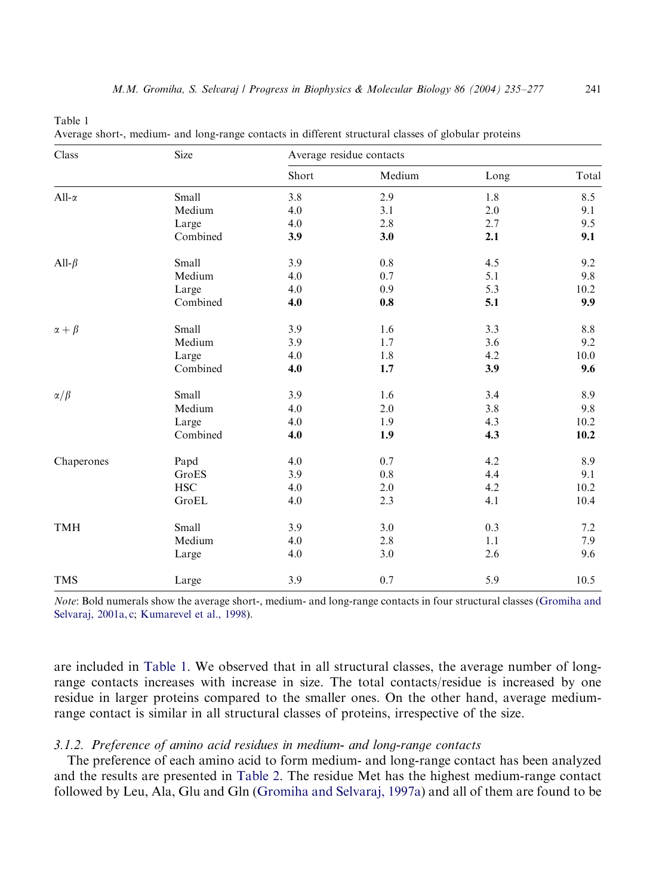Table 1

Average short-, medium- and long-range contacts in different structural classes of globular proteins

| Class            | Size       | Average residue contacts |         |      |       |  |  |
|------------------|------------|--------------------------|---------|------|-------|--|--|
|                  |            | Short                    | Medium  | Long | Total |  |  |
| $All-\alpha$     | Small      | 3.8                      | 2.9     | 1.8  | 8.5   |  |  |
|                  | Medium     | 4.0                      | 3.1     | 2.0  | 9.1   |  |  |
|                  | Large      | 4.0                      | 2.8     | 2.7  | 9.5   |  |  |
|                  | Combined   | 3.9                      | 3.0     | 2.1  | 9.1   |  |  |
| All- $\beta$     | Small      | 3.9                      | 0.8     | 4.5  | 9.2   |  |  |
|                  | Medium     | 4.0                      | 0.7     | 5.1  | 9.8   |  |  |
|                  | Large      | 4.0                      | 0.9     | 5.3  | 10.2  |  |  |
|                  | Combined   | 4.0                      | $0.8\,$ | 5.1  | 9.9   |  |  |
| $\alpha + \beta$ | Small      | 3.9                      | 1.6     | 3.3  | 8.8   |  |  |
|                  | Medium     | 3.9                      | 1.7     | 3.6  | 9.2   |  |  |
|                  | Large      | 4.0                      | 1.8     | 4.2  | 10.0  |  |  |
|                  | Combined   | 4.0                      | 1.7     | 3.9  | 9.6   |  |  |
| $\alpha/\beta$   | Small      | 3.9                      | 1.6     | 3.4  | 8.9   |  |  |
|                  | Medium     | 4.0                      | 2.0     | 3.8  | 9.8   |  |  |
|                  | Large      | 4.0                      | 1.9     | 4.3  | 10.2  |  |  |
|                  | Combined   | 4.0                      | 1.9     | 4.3  | 10.2  |  |  |
| Chaperones       | Papd       | 4.0                      | 0.7     | 4.2  | 8.9   |  |  |
|                  | GroES      | 3.9                      | 0.8     | 4.4  | 9.1   |  |  |
|                  | <b>HSC</b> | 4.0                      | 2.0     | 4.2  | 10.2  |  |  |
|                  | GroEL      | 4.0                      | 2.3     | 4.1  | 10.4  |  |  |
| <b>TMH</b>       | Small      | 3.9                      | 3.0     | 0.3  | 7.2   |  |  |
|                  | Medium     | 4.0                      | 2.8     | 1.1  | 7.9   |  |  |
|                  | Large      | 4.0                      | 3.0     | 2.6  | 9.6   |  |  |
| <b>TMS</b>       | Large      | 3.9                      | 0.7     | 5.9  | 10.5  |  |  |

*Note*: Bold numerals show the average short-, medium- and long-range contacts in four structural classes (Gromiha and Selvaraj, 2001a, c; Kumarevel et al., 1998).

are included in Table 1. We observed that in all structural classes, the average number of longrange contacts increases with increase in size. The total contacts/residue is increased by one residue in larger proteins compared to the smaller ones. On the other hand, average mediumrange contact is similar in all structural classes of proteins, irrespective of the size.

## *3.1.2. Preference of amino acid residues in medium- and long-range contacts*

The preference of each amino acid to form medium- and long-range contact has been analyzed and the results are presented in Table 2. The residue Met has the highest medium-range contact followed by Leu, Ala, Glu and Gln (Gromiha and Selvaraj, 1997a) and all of them are found to be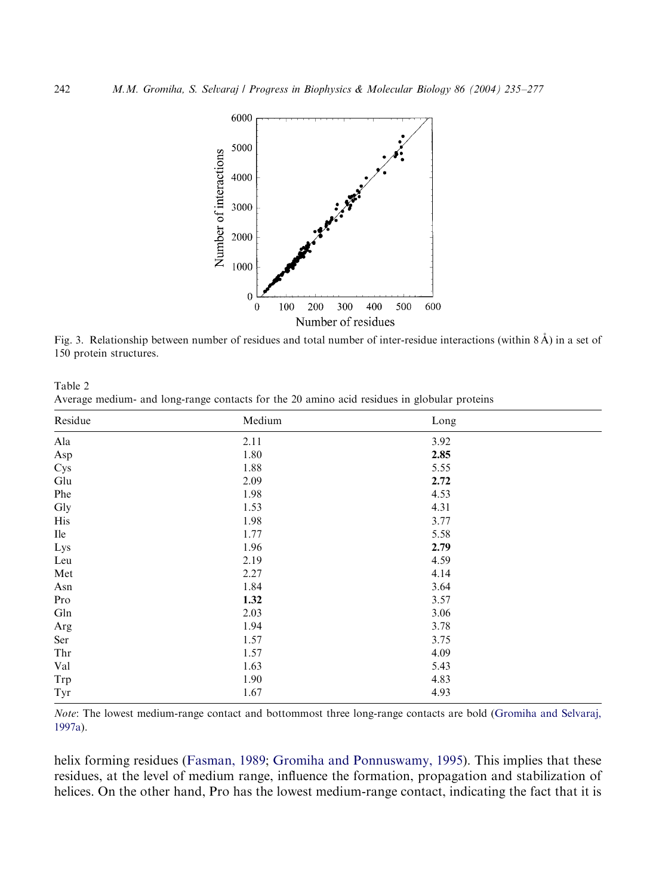

Fig. 3. Relationship between number of residues and total number of inter-residue interactions (within  $8 \AA$ ) in a set of 150 protein structures.

| Table 2                                                                                     |  |  |  |  |
|---------------------------------------------------------------------------------------------|--|--|--|--|
| Average medium- and long-range contacts for the 20 amino acid residues in globular proteins |  |  |  |  |

| Residue | Medium | Long |
|---------|--------|------|
| Ala     | 2.11   | 3.92 |
| Asp     | 1.80   | 2.85 |
| Cys     | 1.88   | 5.55 |
| Glu     | 2.09   | 2.72 |
| Phe     | 1.98   | 4.53 |
| Gly     | 1.53   | 4.31 |
| His     | 1.98   | 3.77 |
| Ile     | 1.77   | 5.58 |
| Lys     | 1.96   | 2.79 |
| Leu     | 2.19   | 4.59 |
| Met     | 2.27   | 4.14 |
| Asn     | 1.84   | 3.64 |
| Pro     | 1.32   | 3.57 |
| Gln     | 2.03   | 3.06 |
| Arg     | 1.94   | 3.78 |
| Ser     | 1.57   | 3.75 |
| Thr     | 1.57   | 4.09 |
| Val     | 1.63   | 5.43 |
| Trp     | 1.90   | 4.83 |
| Tyr     | 1.67   | 4.93 |

*Note*: The lowest medium-range contact and bottommost three long-range contacts are bold (Gromiha and Selvaraj, 1997a).

helix forming residues (Fasman, 1989; Gromiha and Ponnuswamy, 1995). This implies that these residues, at the level of medium range, influence the formation, propagation and stabilization of helices. On the other hand, Pro has the lowest medium-range contact, indicating the fact that it is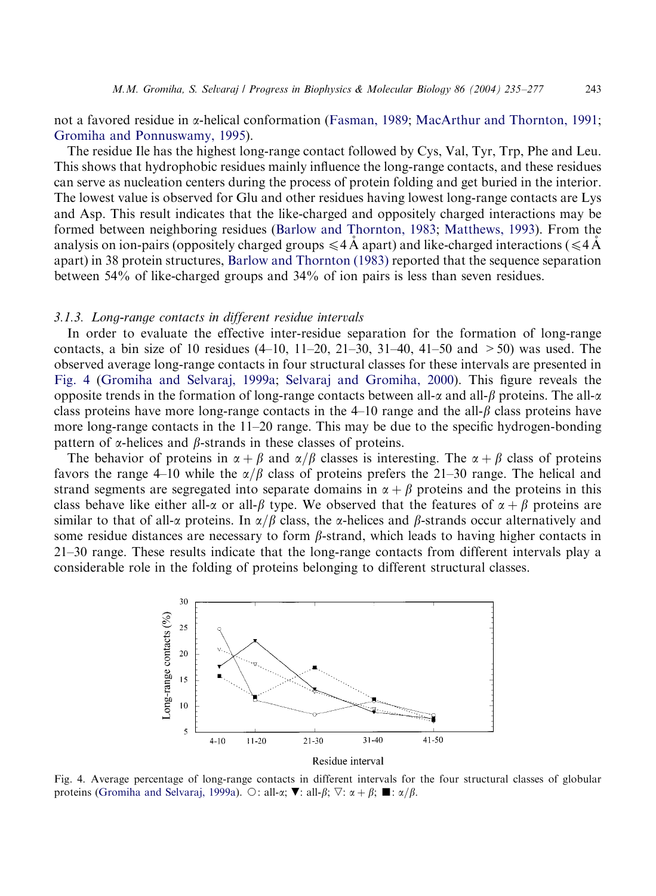not a favored residue in a-helical conformation (Fasman, 1989; MacArthur and Thornton, 1991; Gromiha and Ponnuswamy, 1995).

The residue Ile has the highest long-range contact followed by Cys, Val, Tyr, Trp, Phe and Leu. This shows that hydrophobic residues mainly influence the long-range contacts, and these residues can serve as nucleation centers during the process of protein folding and get buried in the interior. The lowest value is observed for Glu and other residues having lowest long-range contacts are Lys and Asp. This result indicates that the like-charged and oppositely charged interactions may be formed between neighboring residues (Barlowand Thornton, 1983; Matthews, 1993). From the analysis on ion-pairs (oppositely charged groups  $\leq 4$  Å apart) and like-charged interactions ( $\leq 4$  Å apart) in 38 protein structures, Barlowand Thornton (1983) reported that the sequence separation between 54% of like-charged groups and 34% of ion pairs is less than seven residues.

## *3.1.3. Long-range contacts in different residue intervals*

In order to evaluate the effective inter-residue separation for the formation of long-range contacts, a bin size of 10 residues  $(4-10, 11-20, 21-30, 31-40, 41-50, 41-50)$  was used. The observed average long-range contacts in four structural classes for these intervals are presented in Fig. 4 (Gromiha and Selvaraj, 1999a; Selvaraj and Gromiha, 2000). This figure reveals the opposite trends in the formation of long-range contacts between all- $\alpha$  and all- $\beta$  proteins. The all- $\alpha$ class proteins have more long-range contacts in the  $4$ -10 range and the all- $\beta$  class proteins have more long-range contacts in the 11–20 range. This may be due to the specific hydrogen-bonding pattern of  $\alpha$ -helices and  $\beta$ -strands in these classes of proteins.

The behavior of proteins in  $\alpha + \beta$  and  $\alpha/\beta$  classes is interesting. The  $\alpha + \beta$  class of proteins favors the range 4–10 while the  $\alpha/\beta$  class of proteins prefers the 21–30 range. The helical and strand segments are segregated into separate domains in  $\alpha + \beta$  proteins and the proteins in this class behave like either all- $\alpha$  or all- $\beta$  type. We observed that the features of  $\alpha + \beta$  proteins are similar to that of all- $\alpha$  proteins. In  $\alpha/\beta$  class, the  $\alpha$ -helices and  $\beta$ -strands occur alternatively and some residue distances are necessary to form  $\beta$ -strand, which leads to having higher contacts in 21–30 range. These results indicate that the long-range contacts from different intervals play a considerable role in the folding of proteins belonging to different structural classes.



Fig. 4. Average percentage of long-range contacts in different intervals for the four structural classes of globular proteins (Gromiha and Selvaraj, 1999a).  $\bigcirc$ : all- $\alpha$ ;  $\blacktriangledown$ : all- $\beta$ ;  $\triangledown$ :  $\alpha + \beta$ ;  $\blacksquare$ :  $\alpha/\beta$ .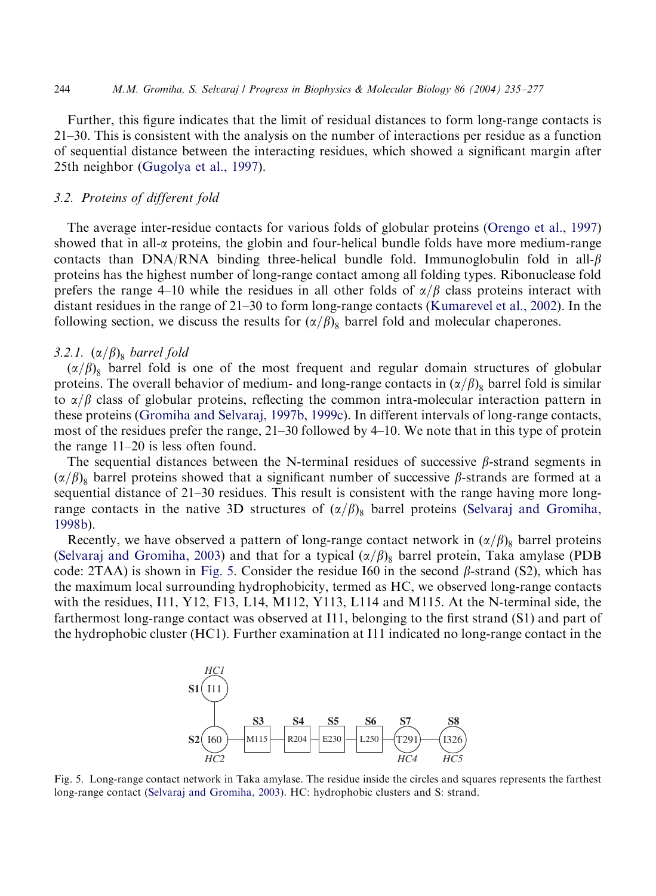Further, this figure indicates that the limit of residual distances to form long-range contacts is 21–30. This is consistent with the analysis on the number of interactions per residue as a function of sequential distance between the interacting residues, which showed a significant margin after 25th neighbor (Gugolya et al., 1997).

#### *3.2. Proteins of different fold*

The average inter-residue contacts for various folds of globular proteins (Orengo et al., 1997) showed that in all- $\alpha$  proteins, the globin and four-helical bundle folds have more medium-range contacts than DNA/RNA binding three-helical bundle fold. Immunoglobulin fold in all- $\beta$ proteins has the highest number of long-range contact among all folding types. Ribonuclease fold prefers the range 4–10 while the residues in all other folds of  $\alpha/\beta$  class proteins interact with distant residues in the range of 21–30 to form long-range contacts (Kumarevel et al., 2002). In the following section, we discuss the results for  $(\alpha/\beta)_{8}$  barrel fold and molecular chaperones.

## *3.2.1.*  $(\alpha/\beta)_{8}$  *barrel fold*

 $(\alpha/\beta)_{8}$  barrel fold is one of the most frequent and regular domain structures of globular proteins. The overall behavior of medium- and long-range contacts in  $(\alpha/\beta)_8$  barrel fold is similar to  $\alpha/\beta$  class of globular proteins, reflecting the common intra-molecular interaction pattern in these proteins (Gromiha and Selvaraj, 1997b, 1999c). In different intervals of long-range contacts, most of the residues prefer the range, 21–30 followed by 4–10. We note that in this type of protein the range 11–20 is less often found.

The sequential distances between the N-terminal residues of successive  $\beta$ -strand segments in  $(\alpha/\beta)_8$  barrel proteins showed that a significant number of successive  $\beta$ -strands are formed at a sequential distance of 21–30 residues. This result is consistent with the range having more longrange contacts in the native 3D structures of  $\alpha/\beta$ <sub>B</sub> barrel proteins (Selvaraj and Gromiha, 1998b).

Recently, we have observed a pattern of long-range contact network in  $(\alpha/\beta)_{8}$  barrel proteins (Selvaraj and Gromiha, 2003) and that for a typical  $(\alpha/\beta)_{8}$  barrel protein, Taka amylase (PDB code: 2TAA) is shown in Fig. 5. Consider the residue I60 in the second  $\beta$ -strand (S2), which has the maximum local surrounding hydrophobicity, termed as HC, we observed long-range contacts with the residues, I11, Y12, F13, L14, M112, Y113, L114 and M115. At the N-terminal side, the farthermost long-range contact was observed at I11, belonging to the first strand (S1) and part of the hydrophobic cluster (HC1). Further examination at I11 indicated no long-range contact in the



Fig. 5. Long-range contact network in Taka amylase. The residue inside the circles and squares represents the farthest long-range contact (Selvaraj and Gromiha, 2003). HC: hydrophobic clusters and S: strand.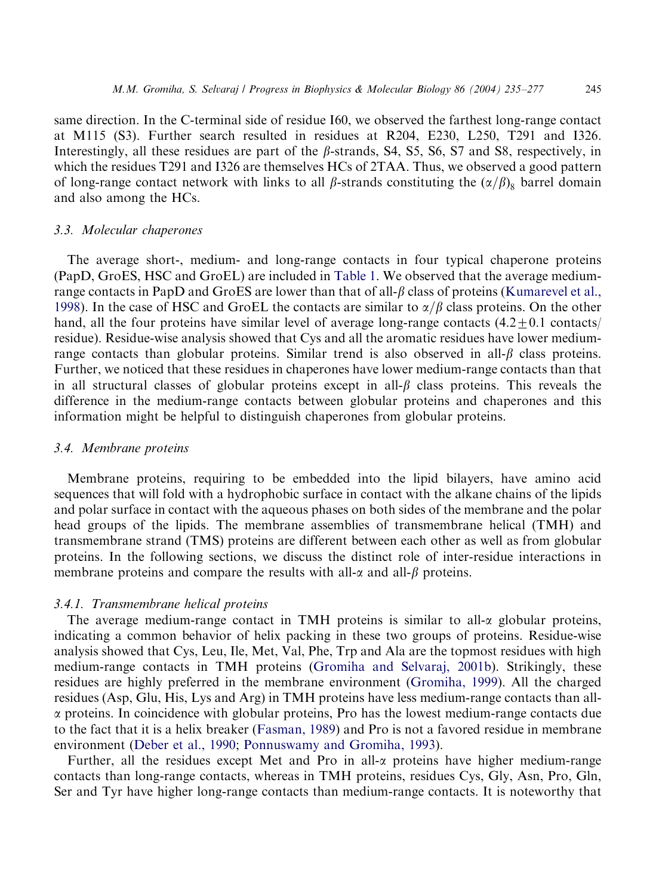same direction. In the C-terminal side of residue I60, we observed the farthest long-range contact at M115 (S3). Further search resulted in residues at R204, E230, L250, T291 and I326. Interestingly, all these residues are part of the  $\beta$ -strands, S4, S5, S6, S7 and S8, respectively, in which the residues T291 and I326 are themselves HCs of 2TAA. Thus, we observed a good pattern of long-range contact network with links to all  $\beta$ -strands constituting the  $(\alpha/\beta)_{8}$  barrel domain and also among the HCs.

#### *3.3. Molecular chaperones*

The average short-, medium- and long-range contacts in four typical chaperone proteins (PapD, GroES, HSC and GroEL) are included in Table 1. We observed that the average mediumrange contacts in PapD and GroES are lower than that of all- $\beta$  class of proteins (Kumarevel et al., 1998). In the case of HSC and GroEL the contacts are similar to  $\alpha/\beta$  class proteins. On the other hand, all the four proteins have similar level of average long-range contacts  $(4.2+0.1 \text{ contacts})$ residue). Residue-wise analysis showed that Cys and all the aromatic residues have lower mediumrange contacts than globular proteins. Similar trend is also observed in all- $\beta$  class proteins. Further, we noticed that these residues in chaperones have lower medium-range contacts than that in all structural classes of globular proteins except in all- $\beta$  class proteins. This reveals the difference in the medium-range contacts between globular proteins and chaperones and this information might be helpful to distinguish chaperones from globular proteins.

## *3.4. Membrane proteins*

Membrane proteins, requiring to be embedded into the lipid bilayers, have amino acid sequences that will fold with a hydrophobic surface in contact with the alkane chains of the lipids and polar surface in contact with the aqueous phases on both sides of the membrane and the polar head groups of the lipids. The membrane assemblies of transmembrane helical (TMH) and transmembrane strand (TMS) proteins are different between each other as well as from globular proteins. In the following sections, we discuss the distinct role of inter-residue interactions in membrane proteins and compare the results with all- $\alpha$  and all- $\beta$  proteins.

## *3.4.1. Transmembrane helical proteins*

The average medium-range contact in TMH proteins is similar to all- $\alpha$  globular proteins, indicating a common behavior of helix packing in these two groups of proteins. Residue-wise analysis showed that Cys, Leu, Ile, Met, Val, Phe, Trp and Ala are the topmost residues with high medium-range contacts in TMH proteins (Gromiha and Selvaraj, 2001b). Strikingly, these residues are highly preferred in the membrane environment (Gromiha, 1999). All the charged residues (Asp, Glu, His, Lys and Arg) in TMH proteins have less medium-range contacts than all- $\alpha$  proteins. In coincidence with globular proteins, Pro has the lowest medium-range contacts due to the fact that it is a helix breaker (Fasman, 1989) and Pro is not a favored residue in membrane environment (Deber et al., 1990; Ponnuswamy and Gromiha, 1993).

Further, all the residues except Met and Pro in all- $\alpha$  proteins have higher medium-range contacts than long-range contacts, whereas in TMH proteins, residues Cys, Gly, Asn, Pro, Gln, Ser and Tyr have higher long-range contacts than medium-range contacts. It is noteworthy that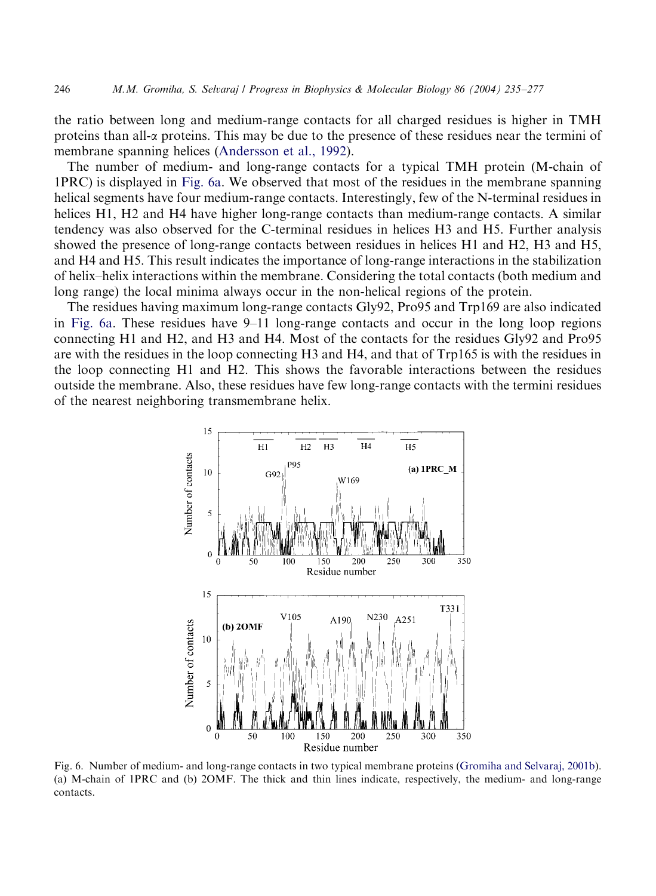the ratio between long and medium-range contacts for all charged residues is higher in TMH proteins than all- $\alpha$  proteins. This may be due to the presence of these residues near the termini of membrane spanning helices (Andersson et al., 1992).

The number of medium- and long-range contacts for a typical TMH protein (M-chain of 1PRC) is displayed in Fig. 6a. We observed that most of the residues in the membrane spanning helical segments have four medium-range contacts. Interestingly, fewof the N-terminal residues in helices H1, H2 and H4 have higher long-range contacts than medium-range contacts. A similar tendency was also observed for the C-terminal residues in helices H3 and H5. Further analysis showed the presence of long-range contacts between residues in helices H1 and H2, H3 and H5, and H4 and H5. This result indicates the importance of long-range interactions in the stabilization of helix–helix interactions within the membrane. Considering the total contacts (both medium and long range) the local minima always occur in the non-helical regions of the protein.

The residues having maximum long-range contacts Gly92, Pro95 and Trp169 are also indicated in Fig. 6a. These residues have 9–11 long-range contacts and occur in the long loop regions connecting H1 and H2, and H3 and H4. Most of the contacts for the residues Gly92 and Pro95 are with the residues in the loop connecting H3 and H4, and that of Trp165 is with the residues in the loop connecting H1 and H2. This shows the favorable interactions between the residues outside the membrane. Also, these residues have fewlong-range contacts with the termini residues of the nearest neighboring transmembrane helix.



Fig. 6. Number of medium- and long-range contacts in two typical membrane proteins (Gromiha and Selvaraj, 2001b). (a) M-chain of 1PRC and (b) 2OMF. The thick and thin lines indicate, respectively, the medium- and long-range contacts.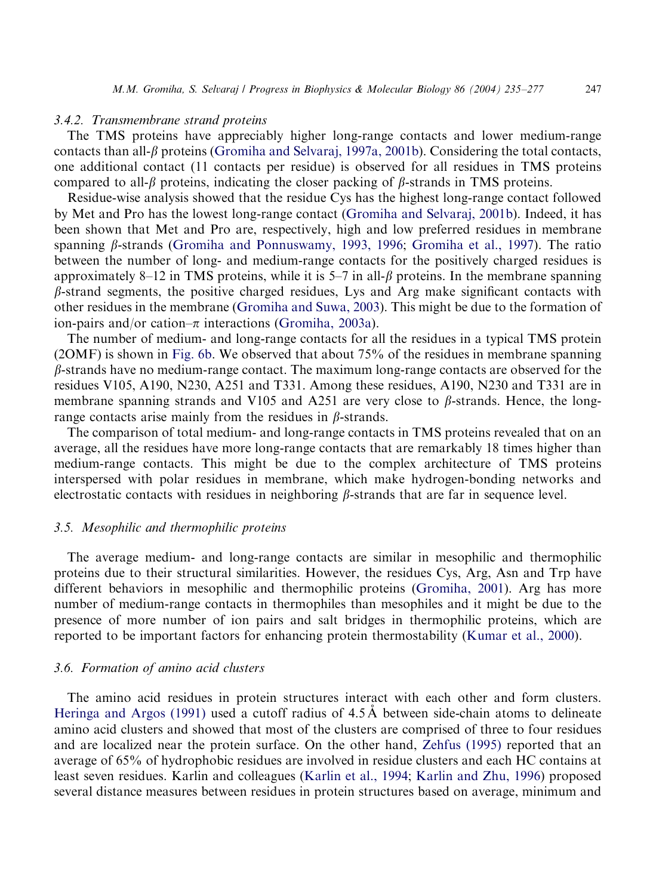#### *3.4.2. Transmembrane strand proteins*

The TMS proteins have appreciably higher long-range contacts and lower medium-range contacts than all- $\beta$  proteins (Gromiha and Selvaraj, 1997a, 2001b). Considering the total contacts, one additional contact (11 contacts per residue) is observed for all residues in TMS proteins compared to all- $\beta$  proteins, indicating the closer packing of  $\beta$ -strands in TMS proteins.

Residue-wise analysis showed that the residue Cys has the highest long-range contact followed by Met and Pro has the lowest long-range contact (Gromiha and Selvaraj, 2001b). Indeed, it has been shown that Met and Pro are, respectively, high and low preferred residues in membrane spanning  $\beta$ -strands (Gromiha and Ponnuswamy, 1993, 1996; Gromiha et al., 1997). The ratio between the number of long- and medium-range contacts for the positively charged residues is approximately 8–12 in TMS proteins, while it is  $5-7$  in all- $\beta$  proteins. In the membrane spanning  $\beta$ -strand segments, the positive charged residues, Lys and Arg make significant contacts with other residues in the membrane (Gromiha and Suwa, 2003). This might be due to the formation of ion-pairs and/or cation– $\pi$  interactions (Gromiha, 2003a).

The number of medium- and long-range contacts for all the residues in a typical TMS protein (2OMF) is shown in Fig. 6b. We observed that about 75% of the residues in membrane spanning  $\beta$ -strands have no medium-range contact. The maximum long-range contacts are observed for the residues V105, A190, N230, A251 and T331. Among these residues, A190, N230 and T331 are in membrane spanning strands and V105 and A251 are very close to  $\beta$ -strands. Hence, the longrange contacts arise mainly from the residues in  $\beta$ -strands.

The comparison of total medium- and long-range contacts in TMS proteins revealed that on an average, all the residues have more long-range contacts that are remarkably 18 times higher than medium-range contacts. This might be due to the complex architecture of TMS proteins interspersed with polar residues in membrane, which make hydrogen-bonding networks and electrostatic contacts with residues in neighboring  $\beta$ -strands that are far in sequence level.

## *3.5. Mesophilic and thermophilic proteins*

The average medium- and long-range contacts are similar in mesophilic and thermophilic proteins due to their structural similarities. However, the residues Cys, Arg, Asn and Trp have different behaviors in mesophilic and thermophilic proteins (Gromiha, 2001). Arg has more number of medium-range contacts in thermophiles than mesophiles and it might be due to the presence of more number of ion pairs and salt bridges in thermophilic proteins, which are reported to be important factors for enhancing protein thermostability (Kumar et al., 2000).

#### *3.6. Formation of amino acid clusters*

The amino acid residues in protein structures interact with each other and form clusters. Heringa and Argos (1991) used a cutoff radius of 4.5 A between side-chain atoms to delineate ( amino acid clusters and showed that most of the clusters are comprised of three to four residues and are localized near the protein surface. On the other hand, Zehfus (1995) reported that an average of 65% of hydrophobic residues are involved in residue clusters and each HC contains at least seven residues. Karlin and colleagues (Karlin et al., 1994; Karlin and Zhu, 1996) proposed several distance measures between residues in protein structures based on average, minimum and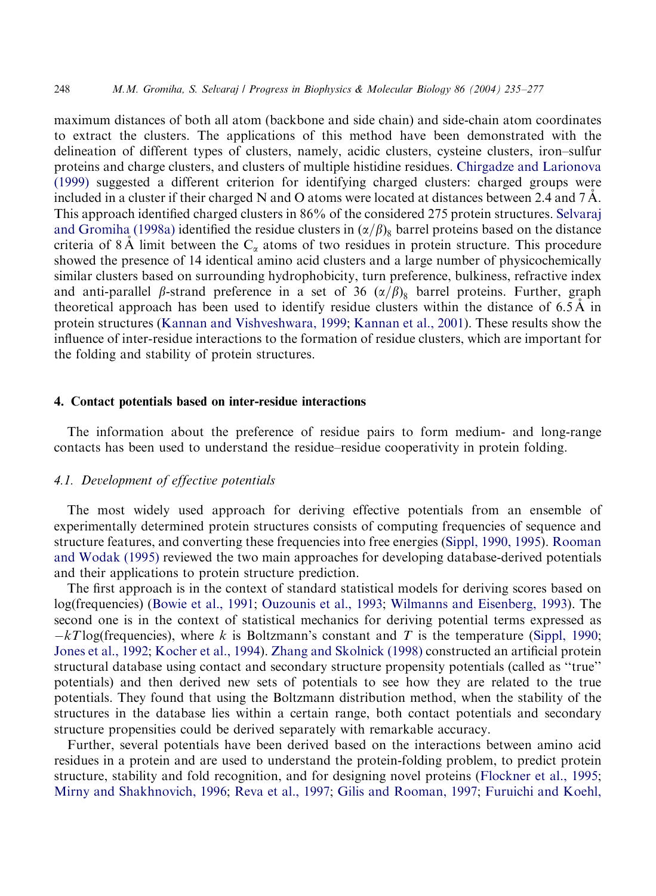maximum distances of both all atom (backbone and side chain) and side-chain atom coordinates to extract the clusters. The applications of this method have been demonstrated with the delineation of different types of clusters, namely, acidic clusters, cysteine clusters, iron–sulfur proteins and charge clusters, and clusters of multiple histidine residues. Chirgadze and Larionova (1999) suggested a different criterion for identifying charged clusters: charged groups were included in a cluster if their charged N and O atoms were located at distances between 2.4 and 7 A. This approach identified charged clusters in 86% of the considered 275 protein structures. Selvaraj and Gromiha (1998a) identified the residue clusters in  $\left(\frac{\alpha}{\beta}\right)_{8}$  barrel proteins based on the distance criteria of  $8 \text{\AA}$  limit between the  $C_{\alpha}$  atoms of two residues in protein structure. This procedure showed the presence of 14 identical amino acid clusters and a large number of physicochemically similar clusters based on surrounding hydrophobicity, turn preference, bulkiness, refractive index and anti-parallel  $\beta$ -strand preference in a set of 36  $(\alpha/\beta)_8$  barrel proteins. Further, graph theoretical approach has been used to identify residue clusters within the distance of  $6.5\text{\AA}$  in protein structures (Kannan and Vishveshwara, 1999; Kannan et al., 2001). These results showthe influence of inter-residue interactions to the formation of residue clusters, which are important for the folding and stability of protein structures.

#### 4. Contact potentials based on inter-residue interactions

The information about the preference of residue pairs to form medium- and long-range contacts has been used to understand the residue–residue cooperativity in protein folding.

## *4.1. Development of effective potentials*

The most widely used approach for deriving effective potentials from an ensemble of experimentally determined protein structures consists of computing frequencies of sequence and structure features, and converting these frequencies into free energies (Sippl, 1990, 1995). Rooman and Wodak (1995) reviewed the two main approaches for developing database-derived potentials and their applications to protein structure prediction.

The first approach is in the context of standard statistical models for deriving scores based on log(frequencies) (Bowie et al., 1991; Ouzounis et al., 1993; Wilmanns and Eisenberg, 1993). The second one is in the context of statistical mechanics for deriving potential terms expressed as  $-kT\log$ (frequencies), where *k* is Boltzmann's constant and *T* is the temperature (Sippl, 1990; Jones et al., 1992; Kocher et al., 1994). Zhang and Skolnick (1998) constructed an artificial protein structural database using contact and secondary structure propensity potentials (called as ''true'' potentials) and then derived new sets of potentials to see how they are related to the true potentials. They found that using the Boltzmann distribution method, when the stability of the structures in the database lies within a certain range, both contact potentials and secondary structure propensities could be derived separately with remarkable accuracy.

Further, several potentials have been derived based on the interactions between amino acid residues in a protein and are used to understand the protein-folding problem, to predict protein structure, stability and fold recognition, and for designing novel proteins (Flockner et al., 1995; Mirny and Shakhnovich, 1996; Reva et al., 1997; Gilis and Rooman, 1997; Furuichi and Koehl,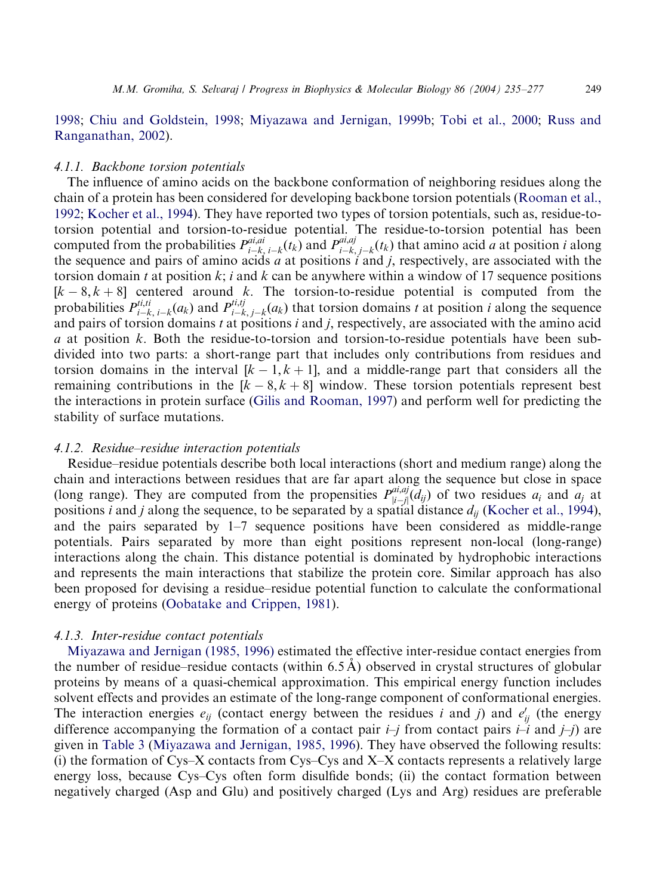1998; Chiu and Goldstein, 1998; Miyazawa and Jernigan, 1999b; Tobi et al., 2000; Russ and Ranganathan, 2002).

## *4.1.1. Backbone torsion potentials*

The influence of amino acids on the backbone conformation of neighboring residues along the chain of a protein has been considered for developing backbone torsion potentials (Rooman et al., 1992; Kocher et al., 1994). They have reported two types of torsion potentials, such as, residue-totorsion potential and torsion-to-residue potential. The residue-to-torsion potential has been computed from the probabilities  $P_{i-k}^{ai,ai}$ *ai,ai*<sub>*i*–*k*</sub> *i*<sub>*k*</sub> *i*<sub>*i*</sub>*k*<sub>*i*</sub> **and**  $P_{i-k,i}^{ai,aj}$  $\int_{i-k}^{a_i} d\mu_{i-k}(t_k)$  that amino acid *a* at position *i* along the sequence and pairs of amino acids *a* at positions *i* and *j*; respectively, are associated with the torsion domain *t* at position *k*; *i* and *k* can be anywhere within a window of 17 sequence positions  $[k-8, k+8]$  centered around k. The torsion-to-residue potential is computed from the probabilities  $P_{i-k}^{ti,ti}$  $\sum_{i=k, i-k}^{ti, ti} (a_k)$  and  $P_{i-k}^{ti, tj}$  $\int_{i-k}^{n,y} f(a_k)$  that torsion domains *t* at position *i* along the sequence and pairs of torsion domains *t* at positions *i* and *j*; respectively, are associated with the amino acid *a* at position *k*: Both the residue-to-torsion and torsion-to-residue potentials have been subdivided into two parts: a short-range part that includes only contributions from residues and torsion domains in the interval  $[k-1, k+1]$ , and a middle-range part that considers all the remaining contributions in the  $[k - 8, k + 8]$  window. These torsion potentials represent best the interactions in protein surface (Gilis and Rooman, 1997) and perform well for predicting the stability of surface mutations.

## *4.1.2. Residue–residue interaction potentials*

Residue–residue potentials describe both local interactions (short and medium range) along the chain and interactions between residues that are far apart along the sequence but close in space (long range). They are computed from the propensities  $P_{i,j}^{ai,aj}$  $\int_{|i-j|}^{a_i, a_j} (d_{ij})$  of two residues  $a_i$  and  $a_j$  at positions *i* and *j* along the sequence, to be separated by a spatial distance *dij* (Kocher et al., 1994), and the pairs separated by 1–7 sequence positions have been considered as middle-range potentials. Pairs separated by more than eight positions represent non-local (long-range) interactions along the chain. This distance potential is dominated by hydrophobic interactions and represents the main interactions that stabilize the protein core. Similar approach has also been proposed for devising a residue–residue potential function to calculate the conformational energy of proteins (Oobatake and Crippen, 1981).

## *4.1.3. Inter-residue contact potentials*

Miyazawa and Jernigan (1985, 1996) estimated the effective inter-residue contact energies from the number of residue–residue contacts (within  $6.5 \text{ Å}$ ) observed in crystal structures of globular proteins by means of a quasi-chemical approximation. This empirical energy function includes solvent effects and provides an estimate of the long-range component of conformational energies. The interaction energies  $e_{ij}$  (contact energy between the residues *i* and *j*) and  $e'_{ij}$  (the energy difference accompanying the formation of a contact pair *i–j* from contact pairs *i–i* and *j–j*) are given in Table 3 (Miyazawa and Jernigan, 1985, 1996). They have observed the following results: (i) the formation of Cys–X contacts from Cys–Cys and X–X contacts represents a relatively large energy loss, because Cys–Cys often form disulfide bonds; (ii) the contact formation between negatively charged (Asp and Glu) and positively charged (Lys and Arg) residues are preferable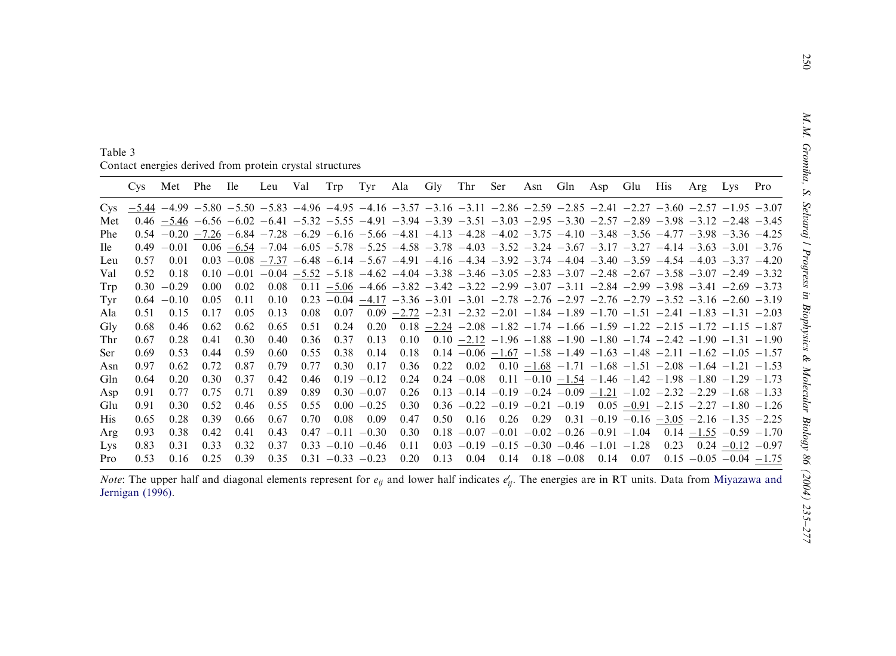|            |      |               |                   | Cys Met Phe Ile |                             |      | Leu Val Trp Tyr Ala Gly Thr Ser Asn Gln Asp Glu His Arg Lys Pro                                                                                                           |      |  |                                                                                              |  |  |  |  |
|------------|------|---------------|-------------------|-----------------|-----------------------------|------|---------------------------------------------------------------------------------------------------------------------------------------------------------------------------|------|--|----------------------------------------------------------------------------------------------|--|--|--|--|
|            |      |               |                   |                 |                             |      | $C_{\rm Y8}$ -5.44 -4.99 -5.80 -5.50 -5.83 -4.96 -4.95 -4.16 -3.57 -3.16 -3.11 -2.86 -2.59 -2.85 -2.41 -2.27 -3.60 -2.57 -1.95 -3.07                                      |      |  |                                                                                              |  |  |  |  |
| Met        |      |               |                   |                 |                             |      | $0.46 - 5.46 - 6.56 - 6.02 - 6.41 - 5.32 - 5.55 - 4.91 - 3.94 - 3.39 - 3.51 - 3.03 - 2.95 - 3.30 - 2.57 - 2.89 - 3.98 - 3.12 - 2.48 - 3.45$                               |      |  |                                                                                              |  |  |  |  |
| <b>Phe</b> |      |               |                   |                 |                             |      | $0.54 - 0.20 - 7.26 - 6.84 - 7.28 - 6.29 - 6.16 - 5.66 - 4.81 - 4.13 - 4.28 - 4.02 - 3.75 - 4.10 - 3.48 - 3.56 - 4.77 - 3.98 - 3.36 - 4.25$                               |      |  |                                                                                              |  |  |  |  |
| <b>Ile</b> |      |               |                   |                 |                             |      | $0.49$ $-0.01$ $0.06$ $\underline{-6.54}$ $-7.04$ $-6.05$ $-5.78$ $-5.25$ $-4.58$ $-3.78$ $-4.03$ $-3.52$ $-3.24$ $-3.67$ $-3.17$ $-3.27$ $-4.14$ $-3.63$ $-3.01$ $-3.76$ |      |  |                                                                                              |  |  |  |  |
| Leu        | 0.57 | 0.01          |                   |                 |                             |      | $0.03 - 0.08 - 7.37 - 6.48 - 6.14 - 5.67 - 4.91 - 4.16 - 4.34 - 3.92 - 3.74 - 4.04 - 3.40 - 3.59 - 4.54 - 4.03 - 3.37 - 4.20$                                             |      |  |                                                                                              |  |  |  |  |
| Val        | 0.52 | 0.18          |                   |                 |                             |      | $0.10 - 0.01 - 0.04 - 5.52 - 5.18 - 4.62 - 4.04 - 3.38 - 3.46 - 3.05 - 2.83 - 3.07 - 2.48 - 2.67 - 3.58 - 3.07 - 2.49 - 3.32$                                             |      |  |                                                                                              |  |  |  |  |
| Trp        |      |               |                   |                 |                             |      | $0.30 - 0.29$ $0.00$ $0.02$ $0.08$ $0.11 - 5.06$ $-4.66$ $-3.82$ $-3.42$ $-3.22$ $-2.99$ $-3.07$ $-3.11$ $-2.84$ $-2.99$ $-3.98$ $-3.41$ $-2.69$ $-3.73$                  |      |  |                                                                                              |  |  |  |  |
| Tyr        |      | $0.64 - 0.10$ | 0.05              | 0.11            | 0.10                        |      | $0.23 -0.04 -4.17 -3.36 -3.01 -3.01 -2.78 -2.76 -2.97 -2.76 -2.79 -3.52 -3.16 -2.60 -3.19$                                                                                |      |  |                                                                                              |  |  |  |  |
| Ala        | 0.51 | 0.15          | 0.17              | 0.05            | 0.13                        | 0.08 | $0.07$ $0.09$ $-2.72$ $-2.31$ $-2.32$ $-2.01$ $-1.84$ $-1.89$ $-1.70$ $-1.51$ $-2.41$ $-1.83$ $-1.31$ $-2.03$                                                             |      |  |                                                                                              |  |  |  |  |
| Gly        | 0.68 | 0.46          | 0.62              | 0.62            | 0.65                        | 0.51 | 0.24 0.20 0.18 $-2.24$ $-2.08$ $-1.82$ $-1.74$ $-1.66$ $-1.59$ $-1.22$ $-2.15$ $-1.72$ $-1.15$ $-1.87$                                                                    |      |  |                                                                                              |  |  |  |  |
| Thr        | 0.67 | 0.28          | 0.41              | 0.30            | 0.40                        | 0.36 | 0.37 0.13 0.10 0.10 -2.12 -1.96 -1.88 -1.90 -1.80 -1.74 -2.42 -1.90 -1.31 -1.90                                                                                           |      |  |                                                                                              |  |  |  |  |
| Ser        | 0.69 | 0.53          | 0.44              | 0.59            | 0.60                        | 0.55 | 0.38 0.14 0.18 0.14 $-0.06$ $-1.67$ $-1.58$ $-1.49$ $-1.63$ $-1.48$ $-2.11$ $-1.62$ $-1.05$ $-1.57$                                                                       |      |  |                                                                                              |  |  |  |  |
| Asn        | 0.97 | 0.62          | 0.72              | 0.87            | 0.79                        | 0.77 | 0.30 0.17 0.36 0.22 0.02 0.10 -1.68 -1.71 -1.68 -1.51 -2.08 -1.64 -1.21 -1.53                                                                                             |      |  |                                                                                              |  |  |  |  |
| Gln        | 0.64 | 0.20          | 0.30              | 0.37            | 0.42                        | 0.46 | $0.19 - 0.12$                                                                                                                                                             |      |  | $0.24$ $0.24$ $-0.08$ $0.11$ $-0.10$ $-1.54$ $-1.46$ $-1.42$ $-1.98$ $-1.80$ $-1.29$ $-1.73$ |  |  |  |  |
| Asp        | 0.91 | 0.77          | 0.75              | 0.71            | 0.89                        | 0.89 | $0.30 - 0.07$ 0.26                                                                                                                                                        |      |  | $0.13 - 0.14 - 0.19 - 0.24 - 0.09 - 1.21 - 1.02 - 2.32 - 2.29 - 1.68 - 1.33$                 |  |  |  |  |
| Glu        | 0.91 |               | $0.30 \quad 0.52$ | 0.46            | 0.55                        | 0.55 | $0.00 - 0.25$ 0.30                                                                                                                                                        |      |  | $0.36 -0.22 -0.19 -0.21 -0.19$ $0.05 -0.91 -2.15 -2.27 -1.80 -1.26$                          |  |  |  |  |
| His        | 0.65 |               | $0.28$ 0.39       | 0.66            | 0.67                        | 0.70 | $0.08$ 0.09                                                                                                                                                               | 0.47 |  | 0.50 0.16 0.26 0.29 0.31 -0.19 -0.16 -3.05 -2.16 -1.35 -2.25                                 |  |  |  |  |
| Arg        | 0.93 | 0.38          | 0.42              | 0.41            | 0.43                        |      | $0.47 - 0.11 - 0.30$ $0.30$ $0.18 - 0.07 - 0.01 - 0.02 - 0.26 - 0.91 - 1.04$ $0.14 - 1.55 - 0.59 - 1.70$                                                                  |      |  |                                                                                              |  |  |  |  |
| Lys        | 0.83 |               | $0.31 \quad 0.33$ | 0.32            | 0.37                        |      | $0.33 -0.10 -0.46$                                                                                                                                                        |      |  | 0.11 0.03 -0.19 -0.15 -0.30 -0.46 -1.01 -1.28 0.23 0.24 -0.12 -0.97                          |  |  |  |  |
| Pro        | 0.53 |               |                   |                 | $0.16$ $0.25$ $0.39$ $0.35$ |      | $0.31$ $-0.33$ $-0.23$ $0.20$ $0.13$ $0.04$ $0.14$ $0.18$ $-0.08$ $0.14$ $0.07$ $0.15$ $-0.05$ $-0.04$ $-1.75$                                                            |      |  |                                                                                              |  |  |  |  |

Table 3 Contact energies derived from protein crystal structures

*Note*: The upper half and diagonal elements represent for  $e_{ij}$  and lower half indicates  $e'_{ij}$ . The energies are in RT units. Data from Miyazawa and Jernigan (1996).

250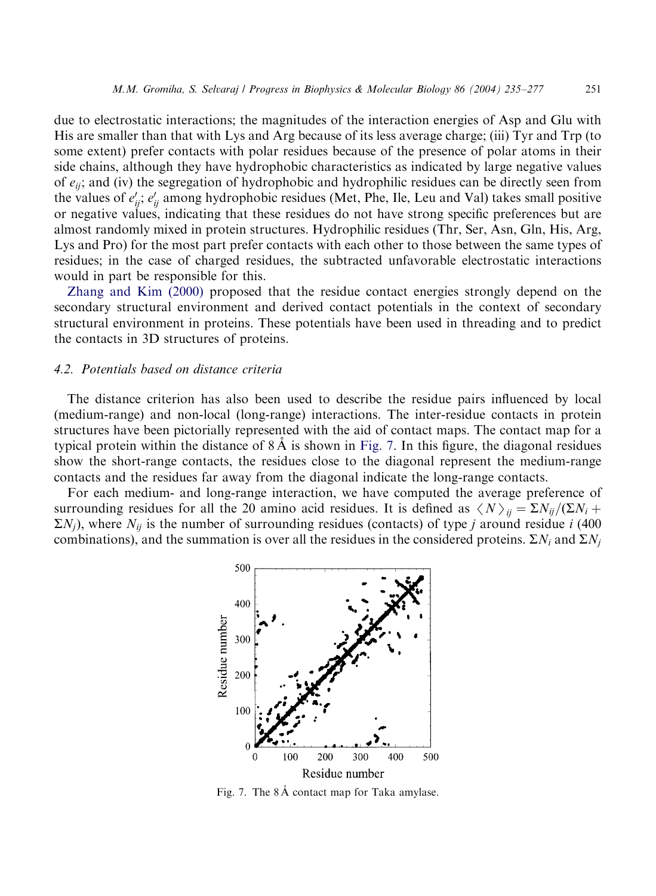due to electrostatic interactions; the magnitudes of the interaction energies of Asp and Glu with His are smaller than that with Lys and Arg because of its less average charge; (iii) Tyr and Trp (to some extent) prefer contacts with polar residues because of the presence of polar atoms in their side chains, although they have hydrophobic characteristics as indicated by large negative values of *eij*; and (iv) the segregation of hydrophobic and hydrophilic residues can be directly seen from the values of  $e'_{ij}$ ;  $e'_{ij}$  among hydrophobic residues (Met, Phe, Ile, Leu and Val) takes small positive or negative values, indicating that these residues do not have strong specific preferences but are almost randomly mixed in protein structures. Hydrophilic residues (Thr, Ser, Asn, Gln, His, Arg, Lys and Pro) for the most part prefer contacts with each other to those between the same types of residues; in the case of charged residues, the subtracted unfavorable electrostatic interactions would in part be responsible for this.

Zhang and Kim (2000) proposed that the residue contact energies strongly depend on the secondary structural environment and derived contact potentials in the context of secondary structural environment in proteins. These potentials have been used in threading and to predict the contacts in 3D structures of proteins.

## *4.2. Potentials based on distance criteria*

The distance criterion has also been used to describe the residue pairs influenced by local (medium-range) and non-local (long-range) interactions. The inter-residue contacts in protein structures have been pictorially represented with the aid of contact maps. The contact map for a typical protein within the distance of  $8\text{\AA}$  is shown in Fig. 7. In this figure, the diagonal residues showthe short-range contacts, the residues close to the diagonal represent the medium-range contacts and the residues far away from the diagonal indicate the long-range contacts.

For each medium- and long-range interaction, we have computed the average preference of surrounding residues for all the 20 amino acid residues. It is defined as  $\langle N \rangle_{ii} = \Sigma N_{ii}/(\Sigma N_i +$  $\Sigma N_i$ ), where  $N_{ij}$  is the number of surrounding residues (contacts) of type *j* around residue *i* (400 combinations), and the summation is over all the residues in the considered proteins.  $\Sigma N_i$  and  $\Sigma N_j$ 



Fig. 7. The 8 Å contact map for Taka amylase.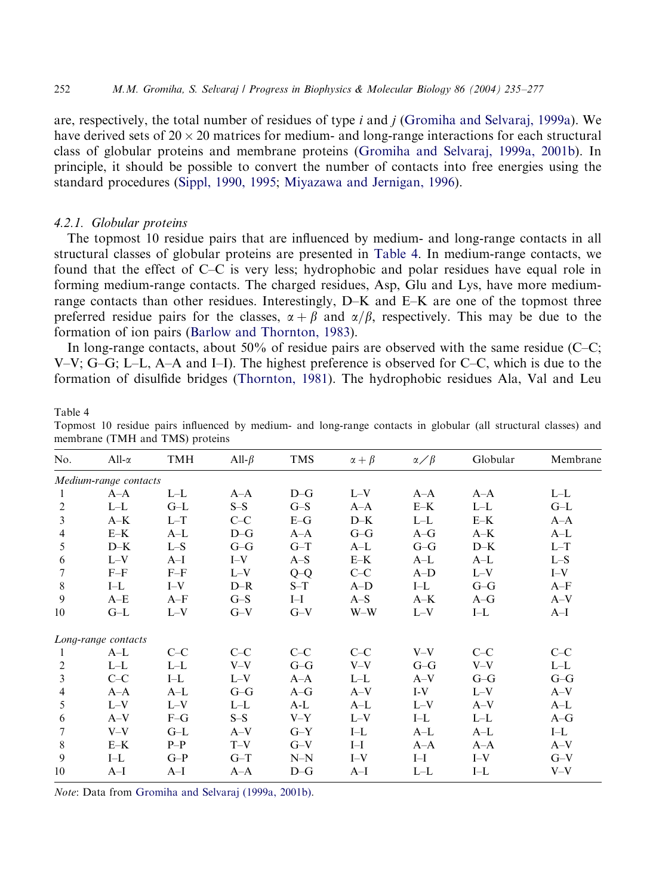are, respectively, the total number of residues of type *i* and *j* (Gromiha and Selvaraj, 1999a). We have derived sets of  $20 \times 20$  matrices for medium- and long-range interactions for each structural class of globular proteins and membrane proteins (Gromiha and Selvaraj, 1999a, 2001b). In principle, it should be possible to convert the number of contacts into free energies using the standard procedures (Sippl, 1990, 1995; Miyazawa and Jernigan, 1996).

## *4.2.1. Globular proteins*

The topmost 10 residue pairs that are influenced by medium- and long-range contacts in all structural classes of globular proteins are presented in Table 4. In medium-range contacts, we found that the effect of C–C is very less; hydrophobic and polar residues have equal role in forming medium-range contacts. The charged residues, Asp, Glu and Lys, have more mediumrange contacts than other residues. Interestingly, D–K and E–K are one of the topmost three preferred residue pairs for the classes,  $\alpha + \beta$  and  $\alpha/\beta$ , respectively. This may be due to the formation of ion pairs (Barlowand Thornton, 1983).

In long-range contacts, about 50% of residue pairs are observed with the same residue (C–C; V–V; G–G; L–L, A–A and I–I). The highest preference is observed for C–C, which is due to the formation of disulfide bridges (Thornton, 1981). The hydrophobic residues Ala, Val and Leu

Table 4

| No.            | All- $\alpha$         | <b>TMH</b> | All- $\beta$ | <b>TMS</b> | $\alpha + \beta$ | $\alpha$ / $\beta$ | Globular | Membrane |
|----------------|-----------------------|------------|--------------|------------|------------------|--------------------|----------|----------|
|                | Medium-range contacts |            |              |            |                  |                    |          |          |
| 1              | $A-A$                 | L–L        | $A-A$        | $D-G$      | $L - V$          | $A-A$              | $A-A$    | L–L      |
| 2              | $L-L$                 | $G-L$      | $S-S$        | $G-S$      | $A-A$            | $E-K$              | $L-L$    | $G-L$    |
| 3              | $A-K$                 | $L-T$      | $C-C$        | $E-G$      | $D-K$            | $L-L$              | $E-K$    | $A-A$    |
| 4              | $E-K$                 | $A-L$      | $D-G$        | $A-A$      | $G-G$            | $A-G$              | $A-K$    | $A-L$    |
| 5              | $D-K$                 | $L-S$      | $G-G$        | $G-T$      | $A-L$            | $G-G$              | $D-K$    | $L-T$    |
| 6              | $L - V$               | $A-I$      | $I-V$        | $A-S$      | $E-K$            | A–L                | $A-L$    | $L-S$    |
| 7              | $F-F$                 | $F-F$      | $L - V$      | $Q-Q$      | $C-C$            | $A-D$              | $L - V$  | $I-N$    |
| 8              | $I-L$                 | $I-V$      | $D-R$        | $S-T$      | $A-D$            | $I-L$              | $G-G$    | $A-F$    |
| 9              | $A-E$                 | $A-F$      | $G-S$        | $I-I$      | $A-S$            | $A-K$              | $A-G$    | $A-V$    |
| 10             | $G-L$                 | $L - V$    | $G-N$        | $G-V$      | $W-W$            | $L - V$            | $I-L$    | $A-I$    |
|                | Long-range contacts   |            |              |            |                  |                    |          |          |
| 1              | $A-L$                 | $C-C$      | $C-C$        | $C-C$      | $C-C$            | $V - V$            | $C-C$    | $C-C$    |
| $\overline{c}$ | L–L                   | $L-L$      | $V - V$      | $G-G$      | $V - V$          | $G-G$              | $V - V$  | $L-L$    |
| 3              | $C-C$                 | $I-L$      | $L - V$      | $A-A$      | $L-L$            | $A-V$              | $G-G$    | $G-G$    |
| 4              | $A-A$                 | $A-L$      | $G-G$        | $A-G$      | $A-V$            | $I-V$              | $L - V$  | $A-V$    |
| 5              | $L - V$               | $L - V$    | $L-L$        | $A-L$      | $A-L$            | $L - V$            | $A-V$    | $A-L$    |
| 6              | $A-V$                 | $F-G$      | $S-S$        | $V-Y$      | $L - V$          | $I-L$              | $L-L$    | $A-G$    |
| 7              | $V - V$               | $G-L$      | $A-V$        | $G-Y$      | $I-L$            | $A-L$              | $A-L$    | $I-L$    |
| 8              | $E-K$                 | $P-P$      | $T-V$        | $G-V$      | $I-I$            | $A-A$              | $A-A$    | $A-V$    |
| 9              | $I-L$                 | $G-P$      | $G-T$        | $N-N$      | $I-V$            | $I-I$              | $I-V$    | $G-V$    |
| 10             | $A-I$                 | $A-I$      | $A-A$        | $D-G$      | $A-I$            | $L-L$              | $I-L$    | $V - V$  |

Topmost 10 residue pairs influenced by medium- and long-range contacts in globular (all structural classes) and membrane (TMH and TMS) proteins

*Note*: Data from Gromiha and Selvaraj (1999a, 2001b).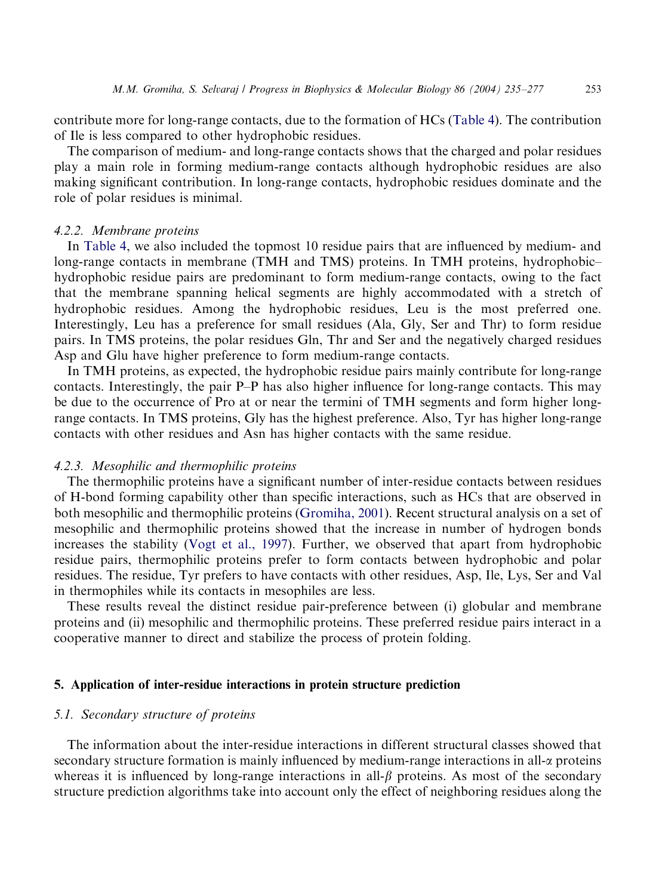contribute more for long-range contacts, due to the formation of HCs (Table 4). The contribution of Ile is less compared to other hydrophobic residues.

The comparison of medium- and long-range contacts shows that the charged and polar residues play a main role in forming medium-range contacts although hydrophobic residues are also making significant contribution. In long-range contacts, hydrophobic residues dominate and the role of polar residues is minimal.

#### *4.2.2. Membrane proteins*

In Table 4, we also included the topmost 10 residue pairs that are influenced by medium- and long-range contacts in membrane (TMH and TMS) proteins. In TMH proteins, hydrophobic– hydrophobic residue pairs are predominant to form medium-range contacts, owing to the fact that the membrane spanning helical segments are highly accommodated with a stretch of hydrophobic residues. Among the hydrophobic residues, Leu is the most preferred one. Interestingly, Leu has a preference for small residues (Ala, Gly, Ser and Thr) to form residue pairs. In TMS proteins, the polar residues Gln, Thr and Ser and the negatively charged residues Asp and Glu have higher preference to form medium-range contacts.

In TMH proteins, as expected, the hydrophobic residue pairs mainly contribute for long-range contacts. Interestingly, the pair P–P has also higher influence for long-range contacts. This may be due to the occurrence of Pro at or near the termini of TMH segments and form higher longrange contacts. In TMS proteins, Gly has the highest preference. Also, Tyr has higher long-range contacts with other residues and Asn has higher contacts with the same residue.

## *4.2.3. Mesophilic and thermophilic proteins*

The thermophilic proteins have a significant number of inter-residue contacts between residues of H-bond forming capability other than specific interactions, such as HCs that are observed in both mesophilic and thermophilic proteins (Gromiha, 2001). Recent structural analysis on a set of mesophilic and thermophilic proteins showed that the increase in number of hydrogen bonds increases the stability (Vogt et al., 1997). Further, we observed that apart from hydrophobic residue pairs, thermophilic proteins prefer to form contacts between hydrophobic and polar residues. The residue, Tyr prefers to have contacts with other residues, Asp, Ile, Lys, Ser and Val in thermophiles while its contacts in mesophiles are less.

These results reveal the distinct residue pair-preference between (i) globular and membrane proteins and (ii) mesophilic and thermophilic proteins. These preferred residue pairs interact in a cooperative manner to direct and stabilize the process of protein folding.

## 5. Application of inter-residue interactions in protein structure prediction

## *5.1. Secondary structure of proteins*

The information about the inter-residue interactions in different structural classes showed that secondary structure formation is mainly influenced by medium-range interactions in all-a proteins whereas it is influenced by long-range interactions in all- $\beta$  proteins. As most of the secondary structure prediction algorithms take into account only the effect of neighboring residues along the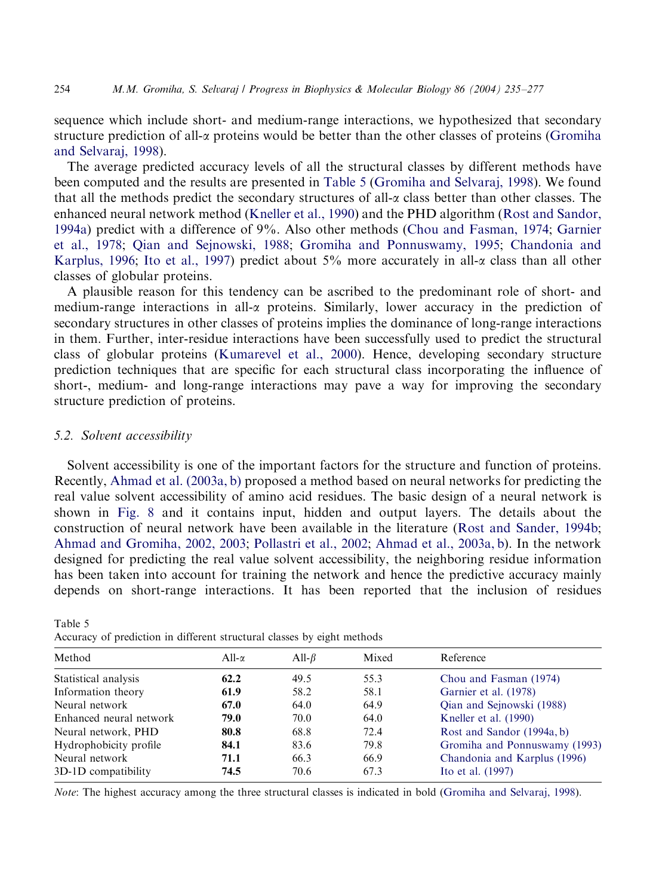sequence which include short- and medium-range interactions, we hypothesized that secondary structure prediction of all- $\alpha$  proteins would be better than the other classes of proteins (Gromiha and Selvaraj, 1998).

The average predicted accuracy levels of all the structural classes by different methods have been computed and the results are presented in Table 5 (Gromiha and Selvaraj, 1998). We found that all the methods predict the secondary structures of all- $\alpha$  class better than other classes. The enhanced neural network method (Kneller et al., 1990) and the PHD algorithm (Rost and Sandor, 1994a) predict with a difference of 9%. Also other methods (Chou and Fasman, 1974; Garnier et al., 1978; Qian and Sejnowski, 1988; Gromiha and Ponnuswamy, 1995; Chandonia and Karplus, 1996; Ito et al., 1997) predict about 5% more accurately in all- $\alpha$  class than all other classes of globular proteins.

A plausible reason for this tendency can be ascribed to the predominant role of short- and medium-range interactions in all- $\alpha$  proteins. Similarly, lower accuracy in the prediction of secondary structures in other classes of proteins implies the dominance of long-range interactions in them. Further, inter-residue interactions have been successfully used to predict the structural class of globular proteins (Kumarevel et al., 2000). Hence, developing secondary structure prediction techniques that are specific for each structural class incorporating the influence of short-, medium- and long-range interactions may pave a way for improving the secondary structure prediction of proteins.

## *5.2. Solvent accessibility*

Solvent accessibility is one of the important factors for the structure and function of proteins. Recently, Ahmad et al. (2003a, b) proposed a method based on neural networks for predicting the real value solvent accessibility of amino acid residues. The basic design of a neural network is shown in Fig. 8 and it contains input, hidden and output layers. The details about the construction of neural network have been available in the literature (Rost and Sander, 1994b; Ahmad and Gromiha, 2002, 2003; Pollastri et al., 2002; Ahmad et al., 2003a, b). In the network designed for predicting the real value solvent accessibility, the neighboring residue information has been taken into account for training the network and hence the predictive accuracy mainly depends on short-range interactions. It has been reported that the inclusion of residues

| Method                  | All- $\alpha$ | All- $\beta$ | Mixed | Reference                     |
|-------------------------|---------------|--------------|-------|-------------------------------|
| Statistical analysis    | 62.2          | 49.5         | 55.3  | Chou and Fasman (1974)        |
| Information theory      | 61.9          | 58.2         | 58.1  | Garnier et al. (1978)         |
| Neural network          | 67.0          | 64.0         | 64.9  | Qian and Sejnowski (1988)     |
| Enhanced neural network | 79.0          | 70.0         | 64.0  | Kneller et al. $(1990)$       |
| Neural network, PHD     | 80.8          | 68.8         | 72.4  | Rost and Sandor (1994a, b)    |
| Hydrophobicity profile  | 84.1          | 83.6         | 79.8  | Gromiha and Ponnuswamy (1993) |
| Neural network          | 71.1          | 66.3         | 66.9  | Chandonia and Karplus (1996)  |
| 3D-1D compatibility     | 74.5          | 70.6         | 67.3  | Ito et al. (1997)             |
|                         |               |              |       |                               |

Table 5 Accuracy of prediction in different structural classes by eight methods

*Note*: The highest accuracy among the three structural classes is indicated in bold (Gromiha and Selvaraj, 1998).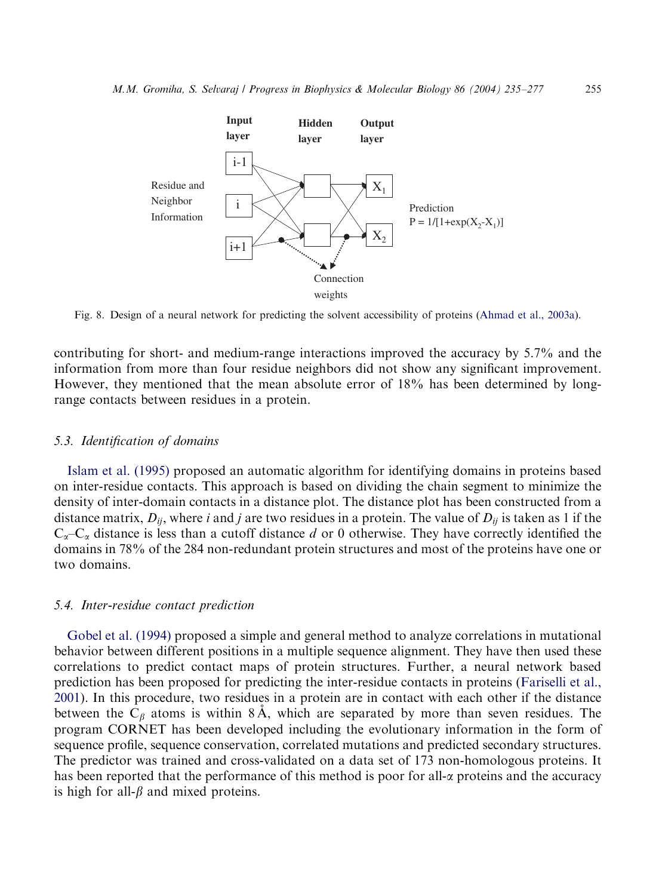

Fig. 8. Design of a neural network for predicting the solvent accessibility of proteins (Ahmad et al., 2003a).

contributing for short- and medium-range interactions improved the accuracy by 5.7% and the information from more than four residue neighbors did not showany significant improvement. However, they mentioned that the mean absolute error of 18% has been determined by longrange contacts between residues in a protein.

## *5.3. Identification of domains*

Islam et al. (1995) proposed an automatic algorithm for identifying domains in proteins based on inter-residue contacts. This approach is based on dividing the chain segment to minimize the density of inter-domain contacts in a distance plot. The distance plot has been constructed from a distance matrix,  $D_{ij}$ , where *i* and *j* are two residues in a protein. The value of  $D_{ij}$  is taken as 1 if the  $C_{\alpha}-C_{\alpha}$  distance is less than a cutoff distance *d* or 0 otherwise. They have correctly identified the domains in 78% of the 284 non-redundant protein structures and most of the proteins have one or two domains.

#### *5.4. Inter-residue contact prediction*

Gobel et al. (1994) proposed a simple and general method to analyze correlations in mutational behavior between different positions in a multiple sequence alignment. They have then used these correlations to predict contact maps of protein structures. Further, a neural network based prediction has been proposed for predicting the inter-residue contacts in proteins (Fariselli et al., 2001). In this procedure, two residues in a protein are in contact with each other if the distance between the  $C_\beta$  atoms is within 8 Å, which are separated by more than seven residues. The program CORNET has been developed including the evolutionary information in the form of sequence profile, sequence conservation, correlated mutations and predicted secondary structures. The predictor was trained and cross-validated on a data set of 173 non-homologous proteins. It has been reported that the performance of this method is poor for all- $\alpha$  proteins and the accuracy is high for all- $\beta$  and mixed proteins.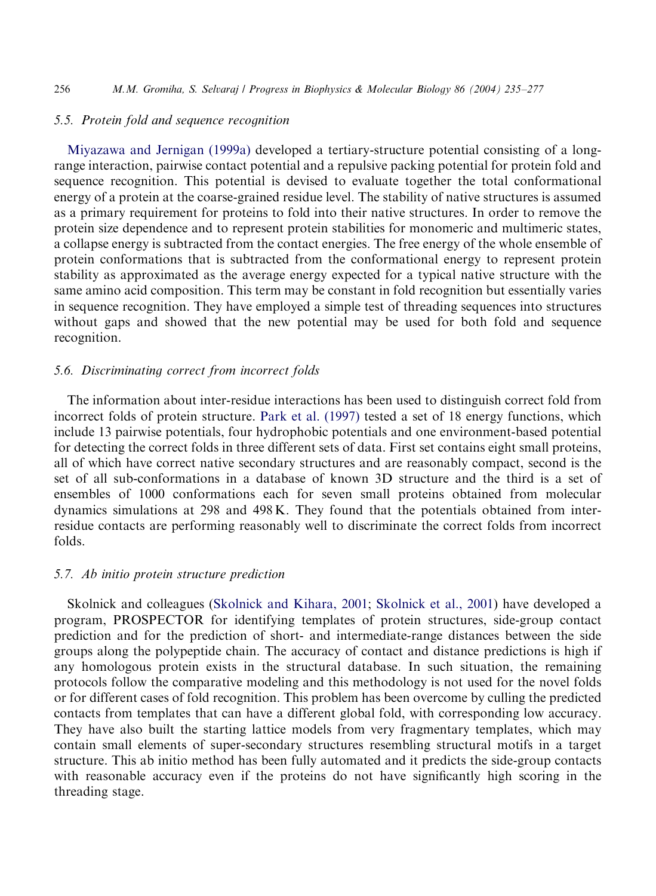#### *5.5. Protein fold and sequence recognition*

Miyazawa and Jernigan (1999a) developed a tertiary-structure potential consisting of a longrange interaction, pairwise contact potential and a repulsive packing potential for protein fold and sequence recognition. This potential is devised to evaluate together the total conformational energy of a protein at the coarse-grained residue level. The stability of native structures is assumed as a primary requirement for proteins to fold into their native structures. In order to remove the protein size dependence and to represent protein stabilities for monomeric and multimeric states, a collapse energy is subtracted from the contact energies. The free energy of the whole ensemble of protein conformations that is subtracted from the conformational energy to represent protein stability as approximated as the average energy expected for a typical native structure with the same amino acid composition. This term may be constant in fold recognition but essentially varies in sequence recognition. They have employed a simple test of threading sequences into structures without gaps and showed that the new potential may be used for both fold and sequence recognition.

## *5.6. Discriminating correct from incorrect folds*

The information about inter-residue interactions has been used to distinguish correct fold from incorrect folds of protein structure. Park et al. (1997) tested a set of 18 energy functions, which include 13 pairwise potentials, four hydrophobic potentials and one environment-based potential for detecting the correct folds in three different sets of data. First set contains eight small proteins, all of which have correct native secondary structures and are reasonably compact, second is the set of all sub-conformations in a database of known 3D structure and the third is a set of ensembles of 1000 conformations each for seven small proteins obtained from molecular dynamics simulations at 298 and 498 K. They found that the potentials obtained from interresidue contacts are performing reasonably well to discriminate the correct folds from incorrect folds.

## *5.7. Ab initio protein structure prediction*

Skolnick and colleagues (Skolnick and Kihara, 2001; Skolnick et al., 2001) have developed a program, PROSPECTOR for identifying templates of protein structures, side-group contact prediction and for the prediction of short- and intermediate-range distances between the side groups along the polypeptide chain. The accuracy of contact and distance predictions is high if any homologous protein exists in the structural database. In such situation, the remaining protocols followthe comparative modeling and this methodology is not used for the novel folds or for different cases of fold recognition. This problem has been overcome by culling the predicted contacts from templates that can have a different global fold, with corresponding low accuracy. They have also built the starting lattice models from very fragmentary templates, which may contain small elements of super-secondary structures resembling structural motifs in a target structure. This ab initio method has been fully automated and it predicts the side-group contacts with reasonable accuracy even if the proteins do not have significantly high scoring in the threading stage.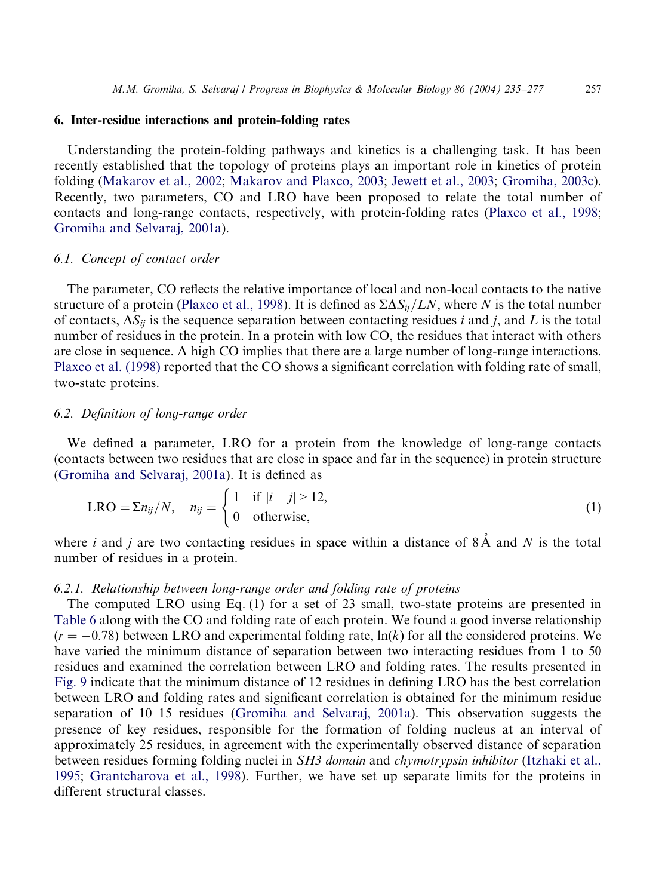#### 6. Inter-residue interactions and protein-folding rates

Understanding the protein-folding pathways and kinetics is a challenging task. It has been recently established that the topology of proteins plays an important role in kinetics of protein folding (Makarov et al., 2002; Makarov and Plaxco, 2003; Jewett et al., 2003; Gromiha, 2003c). Recently, two parameters, CO and LRO have been proposed to relate the total number of contacts and long-range contacts, respectively, with protein-folding rates (Plaxco et al., 1998; Gromiha and Selvaraj, 2001a).

## *6.1. Concept of contact order*

The parameter, CO reflects the relative importance of local and non-local contacts to the native structure of a protein (Plaxco et al., 1998). It is defined as  $\Sigma \Delta S_{ii}/LN$ , where *N* is the total number of contacts,  $\Delta S_{ii}$  is the sequence separation between contacting residues *i* and *j*, and *L* is the total number of residues in the protein. In a protein with low CO, the residues that interact with others are close in sequence. A high CO implies that there are a large number of long-range interactions. Plaxco et al. (1998) reported that the CO shows a significant correlation with folding rate of small, two-state proteins.

## *6.2. Definition of long-range order*

We defined a parameter, LRO for a protein from the knowledge of long-range contacts (contacts between two residues that are close in space and far in the sequence) in protein structure (Gromiha and Selvaraj, 2001a). It is defined as

$$
LRO = \sum n_{ij}/N, \quad n_{ij} = \begin{cases} 1 & \text{if } |i - j| > 12, \\ 0 & \text{otherwise,} \end{cases}
$$
 (1)

where *i* and *j* are two contacting residues in space within a distance of  $8 \text{ Å}$  and  $N$  is the total number of residues in a protein.

## *6.2.1. Relationship between long-range order and folding rate of proteins*

The computed LRO using Eq. (1) for a set of 23 small, two-state proteins are presented in Table 6 along with the CO and folding rate of each protein. We found a good inverse relationship  $(r = -0.78)$  between LRO and experimental folding rate,  $ln(k)$  for all the considered proteins. We have varied the minimum distance of separation between two interacting residues from 1 to 50 residues and examined the correlation between LRO and folding rates. The results presented in Fig. 9 indicate that the minimum distance of 12 residues in defining LRO has the best correlation between LRO and folding rates and significant correlation is obtained for the minimum residue separation of 10–15 residues (Gromiha and Selvaraj, 2001a). This observation suggests the presence of key residues, responsible for the formation of folding nucleus at an interval of approximately 25 residues, in agreement with the experimentally observed distance of separation between residues forming folding nuclei in *SH3 domain* and *chymotrypsin inhibitor* (Itzhaki et al., 1995; Grantcharova et al., 1998). Further, we have set up separate limits for the proteins in different structural classes.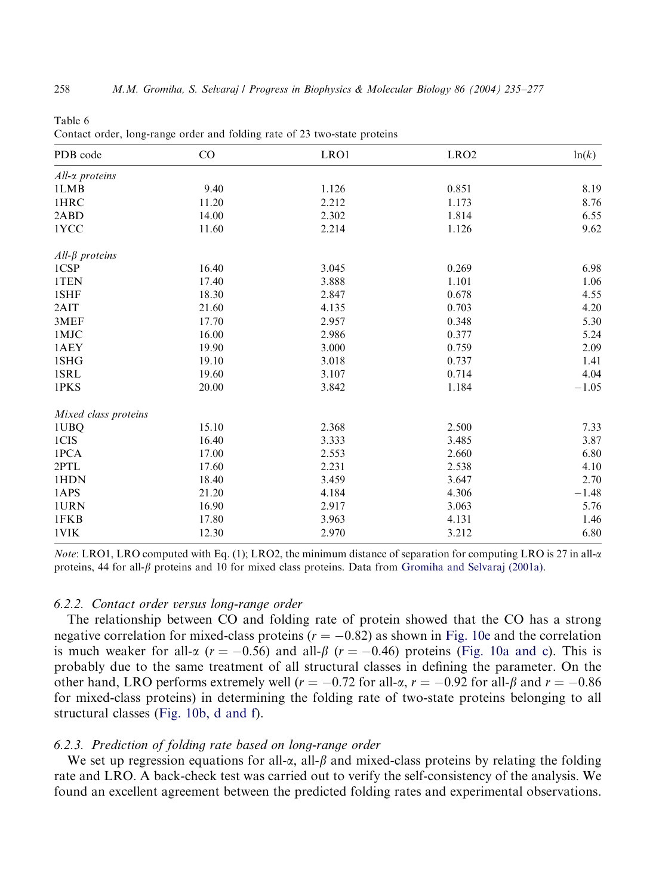Table 6

|                       |          | contact order, tong range order and folding fall of 25 two state proteins |                  |         |
|-----------------------|----------|---------------------------------------------------------------------------|------------------|---------|
| PDB code              | $\rm CO$ | LRO1                                                                      | LRO <sub>2</sub> | ln(k)   |
| $All-\alpha$ proteins |          |                                                                           |                  |         |
| 1LMB                  | 9.40     | 1.126                                                                     | 0.851            | 8.19    |
| 1HRC                  | 11.20    | 2.212                                                                     | 1.173            | 8.76    |
| 2ABD                  | 14.00    | 2.302                                                                     | 1.814            | 6.55    |
| 1YCC                  | 11.60    | 2.214                                                                     | 1.126            | 9.62    |
| $All-\beta$ proteins  |          |                                                                           |                  |         |
| 1CSP                  | 16.40    | 3.045                                                                     | 0.269            | 6.98    |
| 1TEN                  | 17.40    | 3.888                                                                     | 1.101            | 1.06    |
| 1SHF                  | 18.30    | 2.847                                                                     | 0.678            | 4.55    |
| 2AIT                  | 21.60    | 4.135                                                                     | 0.703            | 4.20    |
| 3MEF                  | 17.70    | 2.957                                                                     | 0.348            | 5.30    |
| 1MJC                  | 16.00    | 2.986                                                                     | 0.377            | 5.24    |
| 1AEY                  | 19.90    | 3.000                                                                     | 0.759            | 2.09    |
| 1SHG                  | 19.10    | 3.018                                                                     | 0.737            | 1.41    |
| 1SRL                  | 19.60    | 3.107                                                                     | 0.714            | 4.04    |
| 1PKS                  | 20.00    | 3.842                                                                     | 1.184            | $-1.05$ |
| Mixed class proteins  |          |                                                                           |                  |         |
| 1UBQ                  | 15.10    | 2.368                                                                     | 2.500            | 7.33    |
| 1CIS                  | 16.40    | 3.333                                                                     | 3.485            | 3.87    |
| 1PCA                  | 17.00    | 2.553                                                                     | 2.660            | 6.80    |
| 2PTL                  | 17.60    | 2.231                                                                     | 2.538            | 4.10    |
| 1HDN                  | 18.40    | 3.459                                                                     | 3.647            | 2.70    |
| 1APS                  | 21.20    | 4.184                                                                     | 4.306            | $-1.48$ |
| 1URN                  | 16.90    | 2.917                                                                     | 3.063            | 5.76    |
| 1FKB                  | 17.80    | 3.963                                                                     | 4.131            | 1.46    |
| 1VIK                  | 12.30    | 2.970                                                                     | 3.212            | 6.80    |

Contact order, long-range order and folding rate of 23 two-state proteins

*Note*: LRO1, LRO computed with Eq. (1); LRO2, the minimum distance of separation for computing LRO is 27 in all- $\alpha$ proteins, 44 for all- $\beta$  proteins and 10 for mixed class proteins. Data from Gromiha and Selvaraj (2001a).

## *6.2.2. Contact order versus long-range order*

The relationship between CO and folding rate of protein showed that the CO has a strong negative correlation for mixed-class proteins  $(r = -0.82)$  as shown in Fig. 10e and the correlation is much weaker for all- $\alpha$  ( $r = -0.56$ ) and all- $\beta$  ( $r = -0.46$ ) proteins (Fig. 10a and c). This is probably due to the same treatment of all structural classes in defining the parameter. On the other hand, LRO performs extremely well  $(r = -0.72$  for all- $\alpha$ ,  $r = -0.92$  for all- $\beta$  and  $r = -0.86$ for mixed-class proteins) in determining the folding rate of two-state proteins belonging to all structural classes (Fig. 10b, d and f).

## *6.2.3. Prediction of folding rate based on long-range order*

We set up regression equations for all- $\alpha$ , all- $\beta$  and mixed-class proteins by relating the folding rate and LRO. A back-check test was carried out to verify the self-consistency of the analysis. We found an excellent agreement between the predicted folding rates and experimental observations.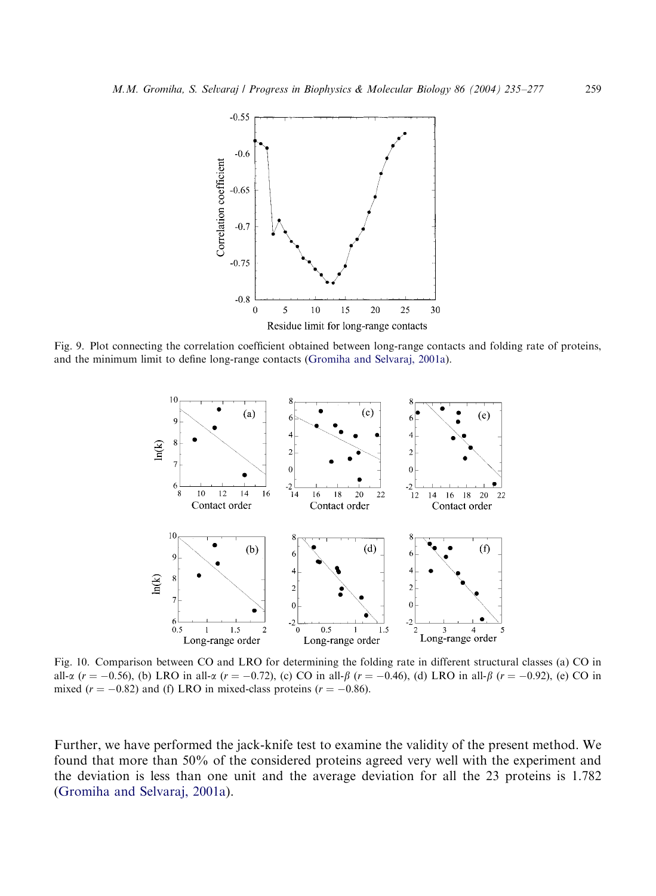

Fig. 9. Plot connecting the correlation coefficient obtained between long-range contacts and folding rate of proteins, and the minimum limit to define long-range contacts (Gromiha and Selvaraj, 2001a).



Fig. 10. Comparison between CO and LRO for determining the folding rate in different structural classes (a) CO in all- $\alpha$  (*r* = -0.56), (b) LRO in all- $\alpha$  (*r* = -0.72), (c) CO in all- $\beta$  (*r* = -0.46), (d) LRO in all- $\beta$  (*r* = -0.92), (e) CO in mixed ( $r = -0.82$ ) and (f) LRO in mixed-class proteins ( $r = -0.86$ ).

Further, we have performed the jack-knife test to examine the validity of the present method. We found that more than 50% of the considered proteins agreed very well with the experiment and the deviation is less than one unit and the average deviation for all the 23 proteins is 1.782 (Gromiha and Selvaraj, 2001a).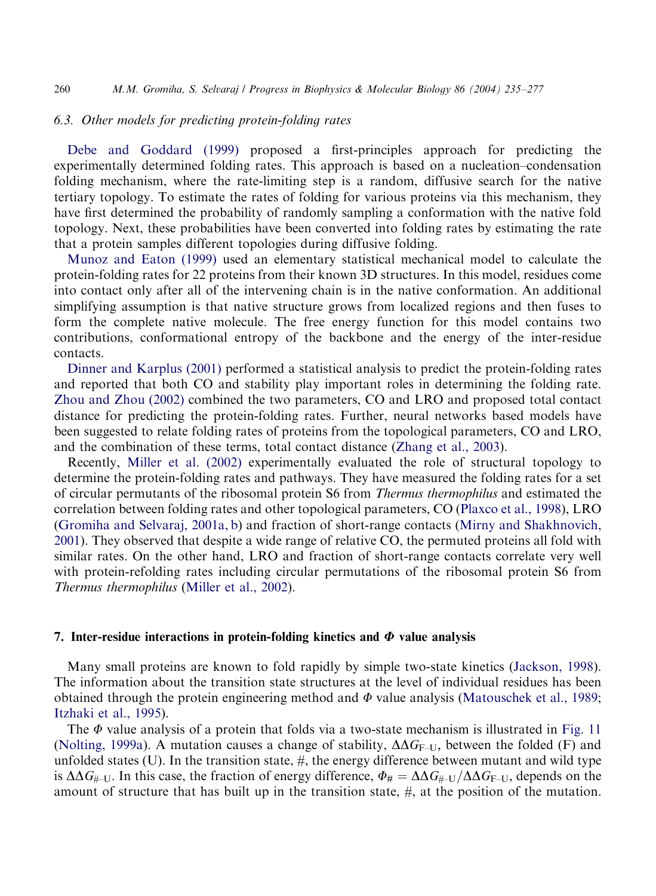## *6.3. Other models for predicting protein-folding rates*

Debe and Goddard (1999) proposed a first-principles approach for predicting the experimentally determined folding rates. This approach is based on a nucleation–condensation folding mechanism, where the rate-limiting step is a random, diffusive search for the native tertiary topology. To estimate the rates of folding for various proteins via this mechanism, they have first determined the probability of randomly sampling a conformation with the native fold topology. Next, these probabilities have been converted into folding rates by estimating the rate that a protein samples different topologies during diffusive folding.

Munoz and Eaton (1999) used an elementary statistical mechanical model to calculate the protein-folding rates for 22 proteins from their known 3D structures. In this model, residues come into contact only after all of the intervening chain is in the native conformation. An additional simplifying assumption is that native structure grows from localized regions and then fuses to form the complete native molecule. The free energy function for this model contains two contributions, conformational entropy of the backbone and the energy of the inter-residue contacts.

Dinner and Karplus (2001) performed a statistical analysis to predict the protein-folding rates and reported that both CO and stability play important roles in determining the folding rate. Zhou and Zhou (2002) combined the two parameters, CO and LRO and proposed total contact distance for predicting the protein-folding rates. Further, neural networks based models have been suggested to relate folding rates of proteins from the topological parameters, CO and LRO, and the combination of these terms, total contact distance (Zhang et al., 2003).

Recently, Miller et al. (2002) experimentally evaluated the role of structural topology to determine the protein-folding rates and pathways. They have measured the folding rates for a set of circular permutants of the ribosomal protein S6 from *Thermus thermophilus* and estimated the correlation between folding rates and other topological parameters, CO (Plaxco et al., 1998), LRO (Gromiha and Selvaraj, 2001a, b) and fraction of short-range contacts (Mirny and Shakhnovich, 2001). They observed that despite a wide range of relative CO, the permuted proteins all fold with similar rates. On the other hand, LRO and fraction of short-range contacts correlate very well with protein-refolding rates including circular permutations of the ribosomal protein S6 from *Thermus thermophilus* (Miller et al., 2002).

## 7. Inter-residue interactions in protein-folding kinetics and  $\Phi$  value analysis

Many small proteins are known to fold rapidly by simple two-state kinetics (Jackson, 1998). The information about the transition state structures at the level of individual residues has been obtained through the protein engineering method and  $\Phi$  value analysis (Matouschek et al., 1989; Itzhaki et al., 1995).

The  $\Phi$  value analysis of a protein that folds via a two-state mechanism is illustrated in Fig. 11 (Nolting, 1999a). A mutation causes a change of stability,  $\Delta\Delta G_{\text{F-II}}$ , between the folded (F) and unfolded states (U). In the transition state,  $\#$ , the energy difference between mutant and wild type is  $\Delta\Delta G_{\text{\#-U}}$ . In this case, the fraction of energy difference,  $\Phi_{\text{\#}} = \Delta\Delta G_{\text{\#-U}}/\Delta\Delta G_{\text{F-U}}$ , depends on the amount of structure that has built up in the transition state,  $\#$ , at the position of the mutation.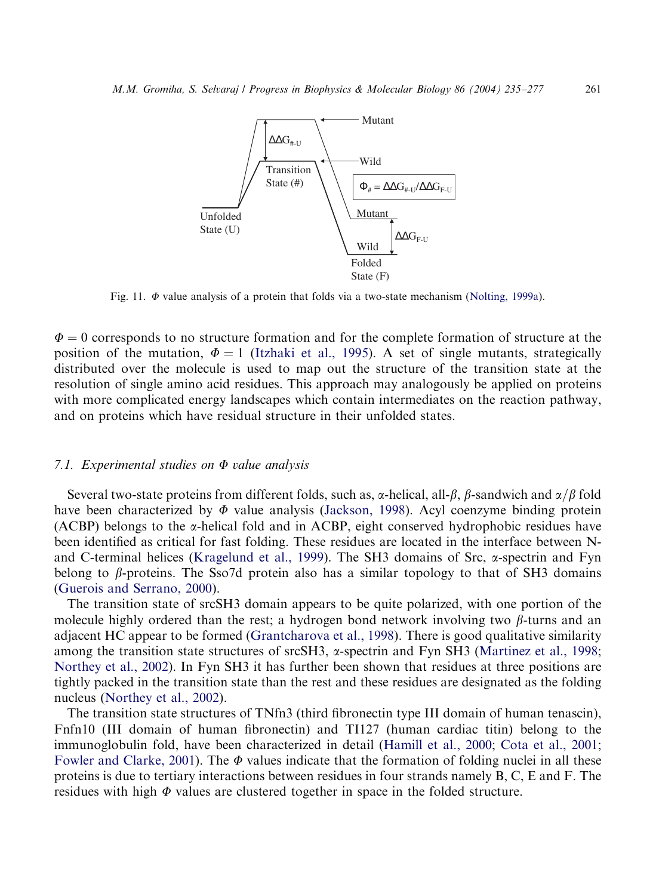

Fig. 11.  $\Phi$  value analysis of a protein that folds via a two-state mechanism (Nolting, 1999a).

 $\Phi = 0$  corresponds to no structure formation and for the complete formation of structure at the position of the mutation,  $\Phi = 1$  (Itzhaki et al., 1995). A set of single mutants, strategically distributed over the molecule is used to map out the structure of the transition state at the resolution of single amino acid residues. This approach may analogously be applied on proteins with more complicated energy landscapes which contain intermediates on the reaction pathway, and on proteins which have residual structure in their unfolded states.

#### *7.1. Experimental studies on*  $\Phi$  *value analysis*

Several two-state proteins from different folds, such as,  $\alpha$ -helical, all- $\beta$ ,  $\beta$ -sandwich and  $\alpha/\beta$  fold have been characterized by  $\Phi$  value analysis (Jackson, 1998). Acyl coenzyme binding protein (ACBP) belongs to the  $\alpha$ -helical fold and in ACBP, eight conserved hydrophobic residues have been identified as critical for fast folding. These residues are located in the interface between Nand C-terminal helices (Kragelund et al., 1999). The SH3 domains of Src,  $\alpha$ -spectrin and Fyn belong to  $\beta$ -proteins. The Sso7d protein also has a similar topology to that of SH3 domains (Guerois and Serrano, 2000).

The transition state of srcSH3 domain appears to be quite polarized, with one portion of the molecule highly ordered than the rest; a hydrogen bond network involving two  $\beta$ -turns and an adjacent HC appear to be formed (Grantcharova et al., 1998). There is good qualitative similarity among the transition state structures of srcSH3,  $\alpha$ -spectrin and Fyn SH3 (Martinez et al., 1998; Northey et al., 2002). In Fyn SH3 it has further been shown that residues at three positions are tightly packed in the transition state than the rest and these residues are designated as the folding nucleus (Northey et al., 2002).

The transition state structures of TNfn3 (third fibronectin type III domain of human tenascin), Fnfn10 (III domain of human fibronectin) and TI127 (human cardiac titin) belong to the immunoglobulin fold, have been characterized in detail (Hamill et al., 2000; Cota et al., 2001; Fowler and Clarke, 2001). The  $\Phi$  values indicate that the formation of folding nuclei in all these proteins is due to tertiary interactions between residues in four strands namely B, C, E and F. The residues with high  $\Phi$  values are clustered together in space in the folded structure.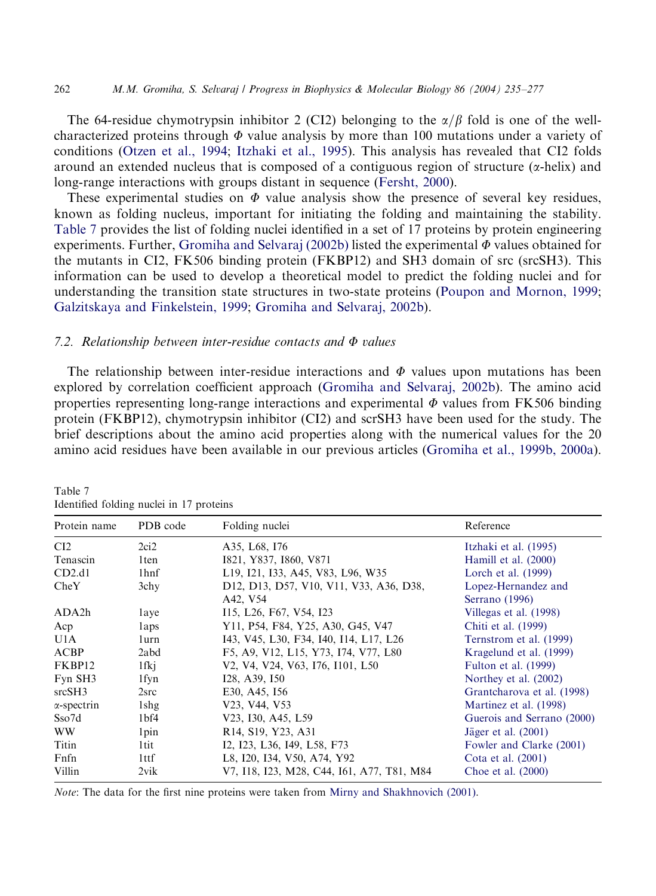The 64-residue chymotrypsin inhibitor 2 (CI2) belonging to the  $\alpha/\beta$  fold is one of the wellcharacterized proteins through  $\Phi$  value analysis by more than 100 mutations under a variety of conditions (Otzen et al., 1994; Itzhaki et al., 1995). This analysis has revealed that CI2 folds around an extended nucleus that is composed of a contiguous region of structure  $(\alpha$ -helix) and long-range interactions with groups distant in sequence (Fersht, 2000).

These experimental studies on  $\Phi$  value analysis show the presence of several key residues, known as folding nucleus, important for initiating the folding and maintaining the stability. Table 7 provides the list of folding nuclei identified in a set of 17 proteins by protein engineering experiments. Further, Gromiha and Selvaraj (2002b) listed the experimental  $\Phi$  values obtained for the mutants in CI2, FK506 binding protein (FKBP12) and SH3 domain of src (srcSH3). This information can be used to develop a theoretical model to predict the folding nuclei and for understanding the transition state structures in two-state proteins (Poupon and Mornon, 1999; Galzitskaya and Finkelstein, 1999; Gromiha and Selvaraj, 2002b).

#### *7.2. Relationship between inter-residue contacts and*  $\Phi$  *values*

The relationship between inter-residue interactions and  $\Phi$  values upon mutations has been explored by correlation coefficient approach (Gromiha and Selvaraj, 2002b). The amino acid properties representing long-range interactions and experimental  $\Phi$  values from FK506 binding protein (FKBP12), chymotrypsin inhibitor (CI2) and scrSH3 have been used for the study. The brief descriptions about the amino acid properties along with the numerical values for the 20 amino acid residues have been available in our previous articles (Gromiha et al., 1999b, 2000a).

| Protein name       | PDB code         | Folding nuclei                                                                                                              | Reference                  |
|--------------------|------------------|-----------------------------------------------------------------------------------------------------------------------------|----------------------------|
| CI2                | 2ci2             | A35, L68, I76                                                                                                               | Itzhaki et al. (1995)      |
| Tenascin           | 1 <sub>ten</sub> | I821, Y837, I860, V871                                                                                                      | Hamill et al. (2000)       |
| CD2.d1             | 1hnf             | L <sub>19</sub> , I <sub>21</sub> , I <sub>33</sub> , A <sub>45</sub> , V <sub>83</sub> , L <sub>96</sub> , W <sub>35</sub> | Lorch et al. (1999)        |
| CheY               | 3 <sub>chy</sub> | D12, D13, D57, V10, V11, V33, A36, D38,                                                                                     | Lopez-Hernandez and        |
|                    |                  | A42, V54                                                                                                                    | Serrano $(1996)$           |
| ADA2h              | 1aye             | I15, L26, F67, V54, I23                                                                                                     | Villegas et al. (1998)     |
| Acp                | laps             | Y11, P54, F84, Y25, A30, G45, V47                                                                                           | Chiti et al. (1999)        |
| U1A                | 1urn             | I43, V45, L30, F34, I40, I14, L17, L26                                                                                      | Ternstrom et al. (1999)    |
| <b>ACBP</b>        | 2abd             | F5, A9, V12, L15, Y73, I74, V77, L80                                                                                        | Kragelund et al. (1999)    |
| FKBP12             | 1fki             | V <sub>2</sub> , V <sub>4</sub> , V <sub>24</sub> , V <sub>63</sub> , 176, 1101, L <sub>50</sub>                            | Fulton et al. (1999)       |
| Fyn SH3            | 1fyn             | I28, A39, I50                                                                                                               | Northey et al. (2002)      |
| srcSH3             | 2src             | E30, A45, I56                                                                                                               | Grantcharova et al. (1998) |
| $\alpha$ -spectrin | $1$ shg          | V23, V44, V53                                                                                                               | Martinez et al. (1998)     |
| Sso7d              | 1 <sub>bf4</sub> | V23, I30, A45, L59                                                                                                          | Guerois and Serrano (2000) |
| <b>WW</b>          | 1pin             | R14, S19, Y23, A31                                                                                                          | Jäger et al. $(2001)$      |
| Titin              | 1tit             | I2, I23, L36, I49, L58, F73                                                                                                 | Fowler and Clarke (2001)   |
| Fnfn               | 1ttf             | L8, I20, I34, V50, A74, Y92                                                                                                 | Cota et al. (2001)         |
| Villin             | 2vik             | V7, I18, I23, M28, C44, I61, A77, T81, M84                                                                                  | Choe et al. $(2000)$       |

Identified folding nuclei in 17 proteins

Table 7

*Note*: The data for the first nine proteins were taken from Mirny and Shakhnovich (2001).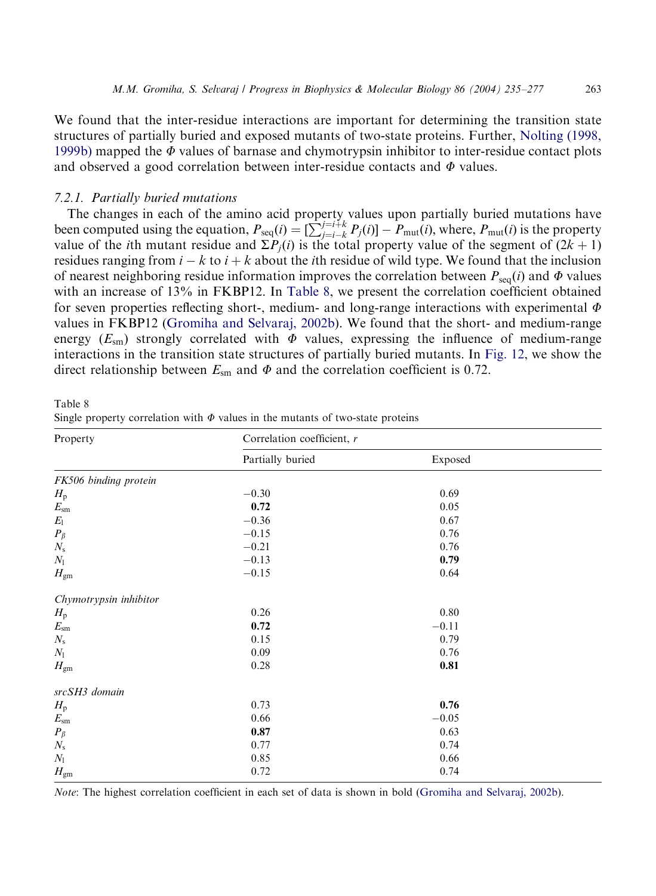We found that the inter-residue interactions are important for determining the transition state structures of partially buried and exposed mutants of two-state proteins. Further, Nolting (1998, 1999b) mapped the  $\Phi$  values of barnase and chymotrypsin inhibitor to inter-residue contact plots and observed a good correlation between inter-residue contacts and  $\Phi$  values.

## *7.2.1. Partially buried mutations*

The changes in each of the amino acid property values upon partially buried mutations have been computed using the equation,  $P_{seq}(i) = [\sum_{j=i-k}^{j=i+k} P_j(i)] - P_{mut}(i)$ , where,  $P_{mut}(i)$  is the property value of the *i*th mutant residue and  $\Sigma P_i(i)$  is the total property value of the segment of  $(2k + 1)$ residues ranging from  $i - k$  to  $i + k$  about the *i*th residue of wild type. We found that the inclusion of nearest neighboring residue information improves the correlation between  $P_{\text{seq}}(i)$  and  $\Phi$  values with an increase of 13% in FKBP12. In Table 8, we present the correlation coefficient obtained for seven properties reflecting short-, medium- and long-range interactions with experimental  $\Phi$ values in FKBP12 (Gromiha and Selvaraj, 2002b). We found that the short- and medium-range energy  $(E_{\rm sm})$  strongly correlated with  $\Phi$  values, expressing the influence of medium-range interactions in the transition state structures of partially buried mutants. In Fig. 12, we show the direct relationship between  $E_{\rm sm}$  and  $\Phi$  and the correlation coefficient is 0.72.

Table 8 Single property correlation with  $\Phi$  values in the mutants of two-state proteins

| Property               | Correlation coefficient, r |          |  |
|------------------------|----------------------------|----------|--|
|                        | Partially buried           | Exposed  |  |
| FK506 binding protein  |                            |          |  |
| $H_{\rm p}$            | $-0.30$                    | 0.69     |  |
| $E_{\rm sm}$           | 0.72                       | 0.05     |  |
| $E_1$                  | $-0.36$                    | 0.67     |  |
| $P_{\beta}$            | $-0.15$                    | 0.76     |  |
| $N_{\rm s}$            | $-0.21$                    | 0.76     |  |
| $N_1$                  | $-0.13$                    | 0.79     |  |
| $H_{\rm gm}$           | $-0.15$                    | 0.64     |  |
| Chymotrypsin inhibitor |                            |          |  |
| $H_{\rm p}$            | 0.26                       | $0.80\,$ |  |
| $E_{\rm sm}$           | 0.72                       | $-0.11$  |  |
| $N_{\rm s}$            | 0.15                       | 0.79     |  |
| $N_1$                  | 0.09                       | 0.76     |  |
| $H_{\rm gm}$           | 0.28                       | 0.81     |  |
| srcSH3 domain          |                            |          |  |
| $H_{\rm p}$            | 0.73                       | 0.76     |  |
| $E_{\rm sm}$           | 0.66                       | $-0.05$  |  |
| $P_{\beta}$            | 0.87                       | 0.63     |  |
| $N_{\rm s}$            | 0.77                       | 0.74     |  |
| $N_1$                  | 0.85                       | 0.66     |  |
| $H_{\rm gm}$           | 0.72                       | 0.74     |  |

*Note*: The highest correlation coefficient in each set of data is shown in bold (Gromiha and Selvaraj, 2002b).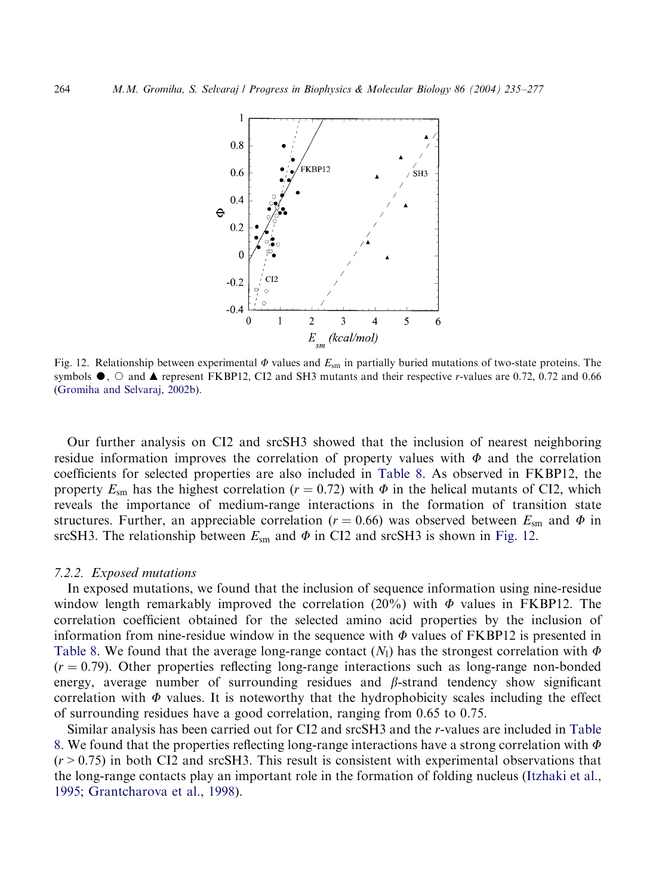

Fig. 12. Relationship between experimental  $\Phi$  values and  $E_{\rm sm}$  in partially buried mutations of two-state proteins. The symbols  $\bullet$ ,  $\circ$  and  $\blacktriangle$  represent FKBP12, CI2 and SH3 mutants and their respective *r*-values are 0.72, 0.72 and 0.66 (Gromiha and Selvaraj, 2002b).

Our further analysis on CI2 and srcSH3 showed that the inclusion of nearest neighboring residue information improves the correlation of property values with  $\Phi$  and the correlation coefficients for selected properties are also included in Table 8. As observed in FKBP12, the property  $E_{\rm sm}$  has the highest correlation ( $r = 0.72$ ) with  $\Phi$  in the helical mutants of CI2, which reveals the importance of medium-range interactions in the formation of transition state structures. Further, an appreciable correlation ( $r = 0.66$ ) was observed between  $E_{\rm sm}$  and  $\Phi$  in srcSH3. The relationship between  $E_{\rm sm}$  and  $\Phi$  in CI2 and srcSH3 is shown in Fig. 12.

#### *7.2.2. Exposed mutations*

In exposed mutations, we found that the inclusion of sequence information using nine-residue window length remarkably improved the correlation (20%) with  $\Phi$  values in FKBP12. The correlation coefficient obtained for the selected amino acid properties by the inclusion of information from nine-residue window in the sequence with  $\Phi$  values of FKBP12 is presented in Table 8. We found that the average long-range contact  $(N<sub>1</sub>)$  has the strongest correlation with  $\Phi$  $(r = 0.79)$ . Other properties reflecting long-range interactions such as long-range non-bonded energy, average number of surrounding residues and  $\beta$ -strand tendency show significant correlation with  $\Phi$  values. It is noteworthy that the hydrophobicity scales including the effect of surrounding residues have a good correlation, ranging from 0.65 to 0.75.

Similar analysis has been carried out for CI2 and srcSH3 and the *r*-values are included in Table 8. We found that the properties reflecting long-range interactions have a strong correlation with  $\Phi$  $(r > 0.75)$  in both CI2 and srcSH3. This result is consistent with experimental observations that the long-range contacts play an important role in the formation of folding nucleus (Itzhaki et al., 1995; Grantcharova et al., 1998).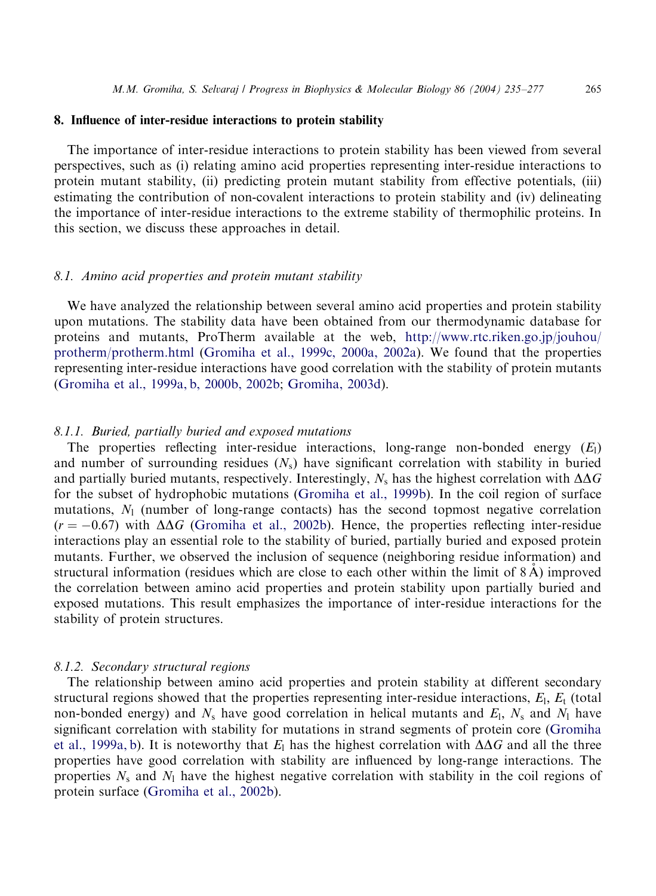#### 8. Influence of inter-residue interactions to protein stability

The importance of inter-residue interactions to protein stability has been viewed from several perspectives, such as (i) relating amino acid properties representing inter-residue interactions to protein mutant stability, (ii) predicting protein mutant stability from effective potentials, (iii) estimating the contribution of non-covalent interactions to protein stability and (iv) delineating the importance of inter-residue interactions to the extreme stability of thermophilic proteins. In this section, we discuss these approaches in detail.

## *8.1. Amino acid properties and protein mutant stability*

We have analyzed the relationship between several amino acid properties and protein stability upon mutations. The stability data have been obtained from our thermodynamic database for proteins and mutants, ProTherm available at the web, http://www.rtc.riken.go.jp/jouhou/ protherm/protherm.html (Gromiha et al., 1999c, 2000a, 2002a). We found that the properties representing inter-residue interactions have good correlation with the stability of protein mutants (Gromiha et al., 1999a, b, 2000b, 2002b; Gromiha, 2003d).

## *8.1.1. Buried, partially buried and exposed mutations*

The properties reflecting inter-residue interactions, long-range non-bonded energy (*E*l) and number of surrounding residues  $(N<sub>s</sub>)$  have significant correlation with stability in buried and partially buried mutants, respectively. Interestingly,  $N_s$  has the highest correlation with  $\Delta\Delta G$ for the subset of hydrophobic mutations (Gromiha et al., 1999b). In the coil region of surface mutations,  $N_1$  (number of long-range contacts) has the second topmost negative correlation  $(r = -0.67)$  with  $\Delta\Delta G$  (Gromiha et al., 2002b). Hence, the properties reflecting inter-residue interactions play an essential role to the stability of buried, partially buried and exposed protein mutants. Further, we observed the inclusion of sequence (neighboring residue information) and structural information (residues which are close to each other within the limit of 8 A) improved ( the correlation between amino acid properties and protein stability upon partially buried and exposed mutations. This result emphasizes the importance of inter-residue interactions for the stability of protein structures.

## *8.1.2. Secondary structural regions*

The relationship between amino acid properties and protein stability at different secondary structural regions showed that the properties representing inter-residue interactions,  $E_l$ ,  $E_t$  (total non-bonded energy) and  $N_s$  have good correlation in helical mutants and  $E_1$ ,  $N_s$  and  $N_1$  have significant correlation with stability for mutations in strand segments of protein core (Gromiha et al., 1999a, b). It is noteworthy that  $E_1$  has the highest correlation with  $\Delta\Delta G$  and all the three properties have good correlation with stability are influenced by long-range interactions. The properties  $N_s$  and  $N_l$  have the highest negative correlation with stability in the coil regions of protein surface (Gromiha et al., 2002b).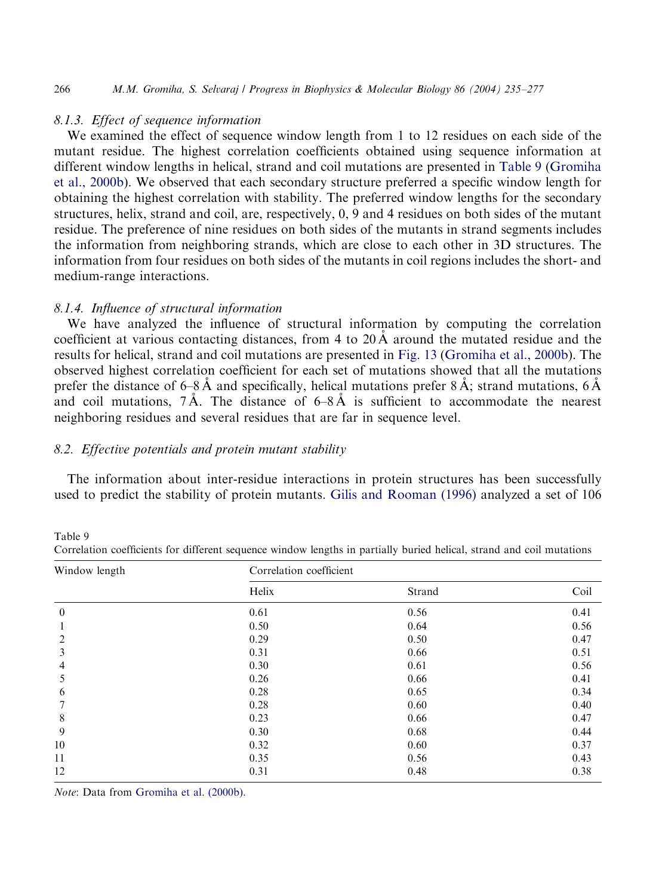#### 266 *M.M. Gromiha, S. Selvaraj / Progress in Biophysics & Molecular Biology 86 (2004) 235–277*

## *8.1.3. Effect of sequence information*

We examined the effect of sequence window length from 1 to 12 residues on each side of the mutant residue. The highest correlation coefficients obtained using sequence information at different window lengths in helical, strand and coil mutations are presented in Table 9 (Gromiha et al., 2000b). We observed that each secondary structure preferred a specific window length for obtaining the highest correlation with stability. The preferred window lengths for the secondary structures, helix, strand and coil, are, respectively, 0, 9 and 4 residues on both sides of the mutant residue. The preference of nine residues on both sides of the mutants in strand segments includes the information from neighboring strands, which are close to each other in 3D structures. The information from four residues on both sides of the mutants in coil regions includes the short- and medium-range interactions.

#### *8.1.4. Influence of structural information*

We have analyzed the influence of structural information by computing the correlation coefficient at various contacting distances, from 4 to  $20 \text{\AA}$  around the mutated residue and the results for helical, strand and coil mutations are presented in Fig. 13 (Gromiha et al., 2000b). The observed highest correlation coefficient for each set of mutations showed that all the mutations prefer the distance of 6–8 Å and specifically, helical mutations prefer  $8 \text{ Å}$ ; strand mutations,  $6 \text{ Å}$ and coil mutations,  $7\text{\AA}$ . The distance of  $6-8\text{\AA}$  is sufficient to accommodate the nearest neighboring residues and several residues that are far in sequence level.

## *8.2. Effective potentials and protein mutant stability*

The information about inter-residue interactions in protein structures has been successfully used to predict the stability of protein mutants. Gilis and Rooman (1996) analyzed a set of 106

| Window length | Correlation coefficient |        |      |
|---------------|-------------------------|--------|------|
|               | Helix                   | Strand | Coil |
| $\mathbf{0}$  | 0.61                    | 0.56   | 0.41 |
| 1             | 0.50                    | 0.64   | 0.56 |
| 2             | 0.29                    | 0.50   | 0.47 |
| 3             | 0.31                    | 0.66   | 0.51 |
| 4             | 0.30                    | 0.61   | 0.56 |
| 5             | 0.26                    | 0.66   | 0.41 |
| 6             | 0.28                    | 0.65   | 0.34 |
| 7             | 0.28                    | 0.60   | 0.40 |
| 8             | 0.23                    | 0.66   | 0.47 |
| 9             | 0.30                    | 0.68   | 0.44 |
| 10            | 0.32                    | 0.60   | 0.37 |
| 11            | 0.35                    | 0.56   | 0.43 |
| 12            | 0.31                    | 0.48   | 0.38 |
|               |                         |        |      |

Correlation coefficients for different sequence window lengths in partially buried helical, strand and coil mutations

*Note*: Data from Gromiha et al. (2000b).

Table 9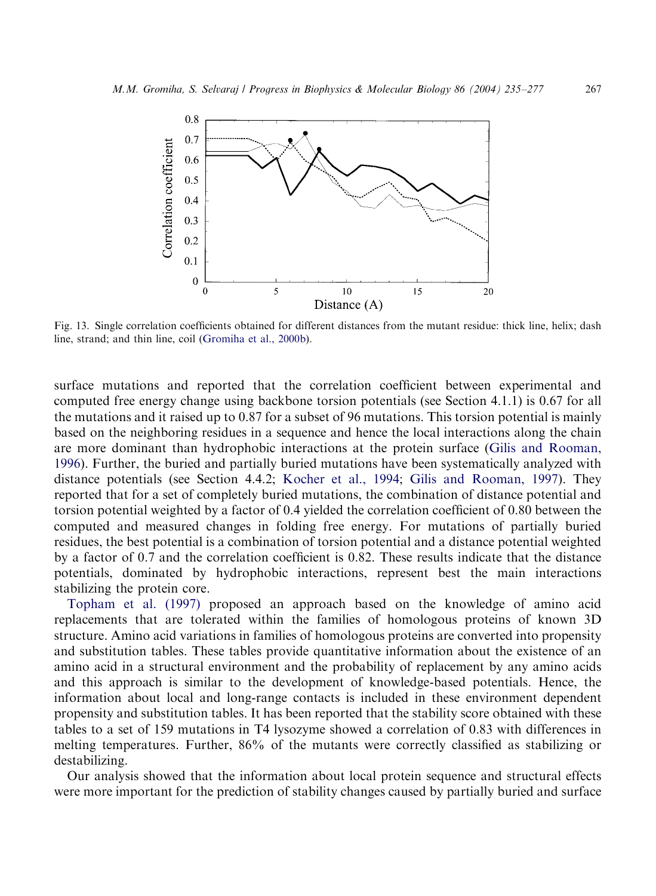

Fig. 13. Single correlation coefficients obtained for different distances from the mutant residue: thick line, helix; dash line, strand; and thin line, coil (Gromiha et al., 2000b).

surface mutations and reported that the correlation coefficient between experimental and computed free energy change using backbone torsion potentials (see Section 4.1.1) is 0.67 for all the mutations and it raised up to 0.87 for a subset of 96 mutations. This torsion potential is mainly based on the neighboring residues in a sequence and hence the local interactions along the chain are more dominant than hydrophobic interactions at the protein surface (Gilis and Rooman, 1996). Further, the buried and partially buried mutations have been systematically analyzed with distance potentials (see Section 4.4.2; Kocher et al., 1994; Gilis and Rooman, 1997). They reported that for a set of completely buried mutations, the combination of distance potential and torsion potential weighted by a factor of 0.4 yielded the correlation coefficient of 0.80 between the computed and measured changes in folding free energy. For mutations of partially buried residues, the best potential is a combination of torsion potential and a distance potential weighted by a factor of 0.7 and the correlation coefficient is 0.82. These results indicate that the distance potentials, dominated by hydrophobic interactions, represent best the main interactions stabilizing the protein core.

Topham et al. (1997) proposed an approach based on the knowledge of amino acid replacements that are tolerated within the families of homologous proteins of known 3D structure. Amino acid variations in families of homologous proteins are converted into propensity and substitution tables. These tables provide quantitative information about the existence of an amino acid in a structural environment and the probability of replacement by any amino acids and this approach is similar to the development of knowledge-based potentials. Hence, the information about local and long-range contacts is included in these environment dependent propensity and substitution tables. It has been reported that the stability score obtained with these tables to a set of 159 mutations in T4 lysozyme showed a correlation of 0.83 with differences in melting temperatures. Further, 86% of the mutants were correctly classified as stabilizing or destabilizing.

Our analysis showed that the information about local protein sequence and structural effects were more important for the prediction of stability changes caused by partially buried and surface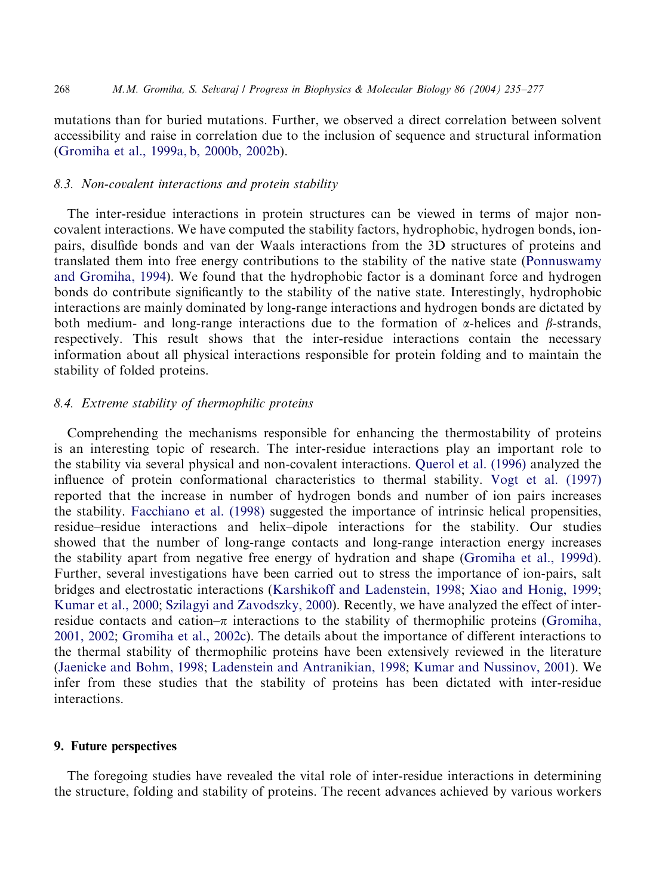mutations than for buried mutations. Further, we observed a direct correlation between solvent accessibility and raise in correlation due to the inclusion of sequence and structural information (Gromiha et al., 1999a, b, 2000b, 2002b).

## *8.3. Non-covalent interactions and protein stability*

The inter-residue interactions in protein structures can be viewed in terms of major noncovalent interactions. We have computed the stability factors, hydrophobic, hydrogen bonds, ionpairs, disulfide bonds and van der Waals interactions from the 3D structures of proteins and translated them into free energy contributions to the stability of the native state (Ponnuswamy and Gromiha, 1994). We found that the hydrophobic factor is a dominant force and hydrogen bonds do contribute significantly to the stability of the native state. Interestingly, hydrophobic interactions are mainly dominated by long-range interactions and hydrogen bonds are dictated by both medium- and long-range interactions due to the formation of  $\alpha$ -helices and  $\beta$ -strands, respectively. This result shows that the inter-residue interactions contain the necessary information about all physical interactions responsible for protein folding and to maintain the stability of folded proteins.

## *8.4. Extreme stability of thermophilic proteins*

Comprehending the mechanisms responsible for enhancing the thermostability of proteins is an interesting topic of research. The inter-residue interactions play an important role to the stability via several physical and non-covalent interactions. Querol et al. (1996) analyzed the influence of protein conformational characteristics to thermal stability. Vogt et al. (1997) reported that the increase in number of hydrogen bonds and number of ion pairs increases the stability. Facchiano et al. (1998) suggested the importance of intrinsic helical propensities, residue–residue interactions and helix–dipole interactions for the stability. Our studies showed that the number of long-range contacts and long-range interaction energy increases the stability apart from negative free energy of hydration and shape (Gromiha et al., 1999d). Further, several investigations have been carried out to stress the importance of ion-pairs, salt bridges and electrostatic interactions (Karshikoff and Ladenstein, 1998; Xiao and Honig, 1999; Kumar et al., 2000; Szilagyi and Zavodszky, 2000). Recently, we have analyzed the effect of interresidue contacts and cation– $\pi$  interactions to the stability of thermophilic proteins (Gromiha, 2001, 2002; Gromiha et al., 2002c). The details about the importance of different interactions to the thermal stability of thermophilic proteins have been extensively reviewed in the literature (Jaenicke and Bohm, 1998; Ladenstein and Antranikian, 1998; Kumar and Nussinov, 2001). We infer from these studies that the stability of proteins has been dictated with inter-residue interactions.

## 9. Future perspectives

The foregoing studies have revealed the vital role of inter-residue interactions in determining the structure, folding and stability of proteins. The recent advances achieved by various workers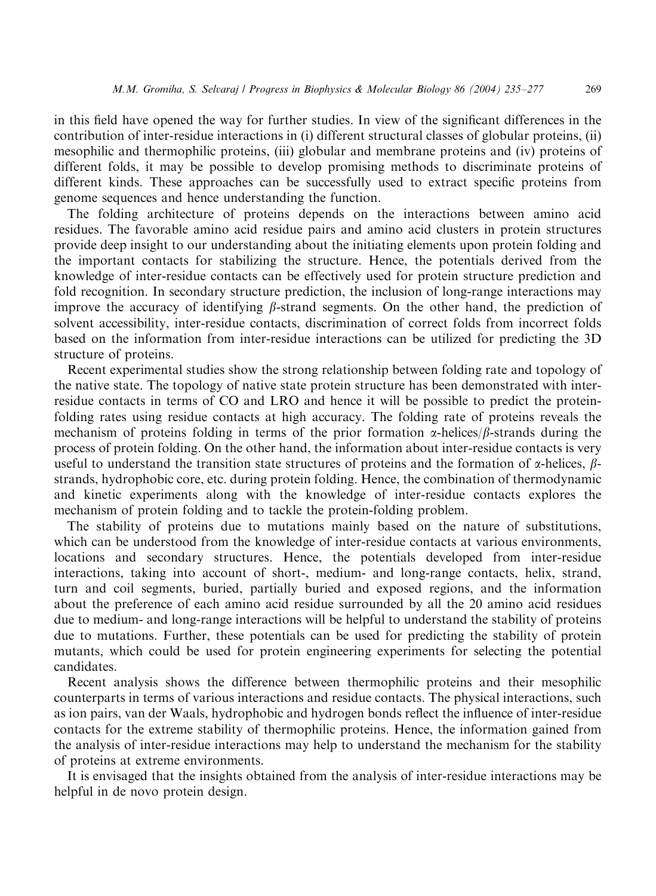in this field have opened the way for further studies. In view of the significant differences in the contribution of inter-residue interactions in (i) different structural classes of globular proteins, (ii) mesophilic and thermophilic proteins, (iii) globular and membrane proteins and (iv) proteins of different folds, it may be possible to develop promising methods to discriminate proteins of different kinds. These approaches can be successfully used to extract specific proteins from genome sequences and hence understanding the function.

The folding architecture of proteins depends on the interactions between amino acid residues. The favorable amino acid residue pairs and amino acid clusters in protein structures provide deep insight to our understanding about the initiating elements upon protein folding and the important contacts for stabilizing the structure. Hence, the potentials derived from the knowledge of inter-residue contacts can be effectively used for protein structure prediction and fold recognition. In secondary structure prediction, the inclusion of long-range interactions may improve the accuracy of identifying  $\beta$ -strand segments. On the other hand, the prediction of solvent accessibility, inter-residue contacts, discrimination of correct folds from incorrect folds based on the information from inter-residue interactions can be utilized for predicting the 3D structure of proteins.

Recent experimental studies showthe strong relationship between folding rate and topology of the native state. The topology of native state protein structure has been demonstrated with interresidue contacts in terms of CO and LRO and hence it will be possible to predict the proteinfolding rates using residue contacts at high accuracy. The folding rate of proteins reveals the mechanism of proteins folding in terms of the prior formation  $\alpha$ -helices/ $\beta$ -strands during the process of protein folding. On the other hand, the information about inter-residue contacts is very useful to understand the transition state structures of proteins and the formation of  $\alpha$ -helices,  $\beta$ strands, hydrophobic core, etc. during protein folding. Hence, the combination of thermodynamic and kinetic experiments along with the knowledge of inter-residue contacts explores the mechanism of protein folding and to tackle the protein-folding problem.

The stability of proteins due to mutations mainly based on the nature of substitutions, which can be understood from the knowledge of inter-residue contacts at various environments, locations and secondary structures. Hence, the potentials developed from inter-residue interactions, taking into account of short-, medium- and long-range contacts, helix, strand, turn and coil segments, buried, partially buried and exposed regions, and the information about the preference of each amino acid residue surrounded by all the 20 amino acid residues due to medium- and long-range interactions will be helpful to understand the stability of proteins due to mutations. Further, these potentials can be used for predicting the stability of protein mutants, which could be used for protein engineering experiments for selecting the potential candidates.

Recent analysis shows the difference between thermophilic proteins and their mesophilic counterparts in terms of various interactions and residue contacts. The physical interactions, such as ion pairs, van der Waals, hydrophobic and hydrogen bonds reflect the influence of inter-residue contacts for the extreme stability of thermophilic proteins. Hence, the information gained from the analysis of inter-residue interactions may help to understand the mechanism for the stability of proteins at extreme environments.

It is envisaged that the insights obtained from the analysis of inter-residue interactions may be helpful in de novo protein design.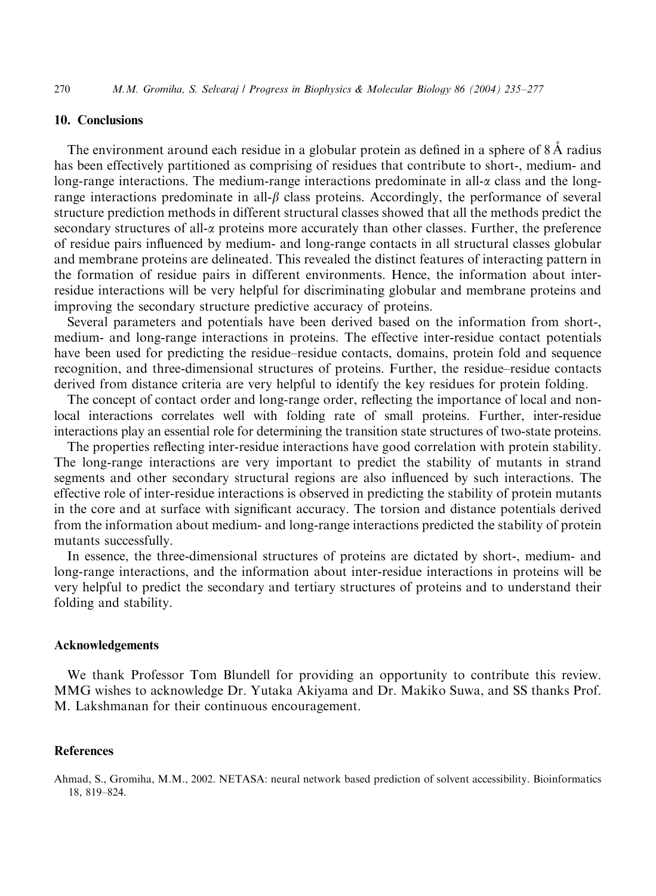## 10. Conclusions

The environment around each residue in a globular protein as defined in a sphere of 8 Å radius has been effectively partitioned as comprising of residues that contribute to short-, medium- and long-range interactions. The medium-range interactions predominate in all- $\alpha$  class and the longrange interactions predominate in all- $\beta$  class proteins. Accordingly, the performance of several structure prediction methods in different structural classes showed that all the methods predict the secondary structures of all- $\alpha$  proteins more accurately than other classes. Further, the preference of residue pairs influenced by medium- and long-range contacts in all structural classes globular and membrane proteins are delineated. This revealed the distinct features of interacting pattern in the formation of residue pairs in different environments. Hence, the information about interresidue interactions will be very helpful for discriminating globular and membrane proteins and improving the secondary structure predictive accuracy of proteins.

Several parameters and potentials have been derived based on the information from short-, medium- and long-range interactions in proteins. The effective inter-residue contact potentials have been used for predicting the residue–residue contacts, domains, protein fold and sequence recognition, and three-dimensional structures of proteins. Further, the residue–residue contacts derived from distance criteria are very helpful to identify the key residues for protein folding.

The concept of contact order and long-range order, reflecting the importance of local and nonlocal interactions correlates well with folding rate of small proteins. Further, inter-residue interactions play an essential role for determining the transition state structures of two-state proteins.

The properties reflecting inter-residue interactions have good correlation with protein stability. The long-range interactions are very important to predict the stability of mutants in strand segments and other secondary structural regions are also influenced by such interactions. The effective role of inter-residue interactions is observed in predicting the stability of protein mutants in the core and at surface with significant accuracy. The torsion and distance potentials derived from the information about medium- and long-range interactions predicted the stability of protein mutants successfully.

In essence, the three-dimensional structures of proteins are dictated by short-, medium- and long-range interactions, and the information about inter-residue interactions in proteins will be very helpful to predict the secondary and tertiary structures of proteins and to understand their folding and stability.

#### Acknowledgements

We thank Professor Tom Blundell for providing an opportunity to contribute this review. MMG wishes to acknowledge Dr. Yutaka Akiyama and Dr. Makiko Suwa, and SS thanks Prof. M. Lakshmanan for their continuous encouragement.

## References

Ahmad, S., Gromiha, M.M., 2002. NETASA: neural network based prediction of solvent accessibility. Bioinformatics 18, 819–824.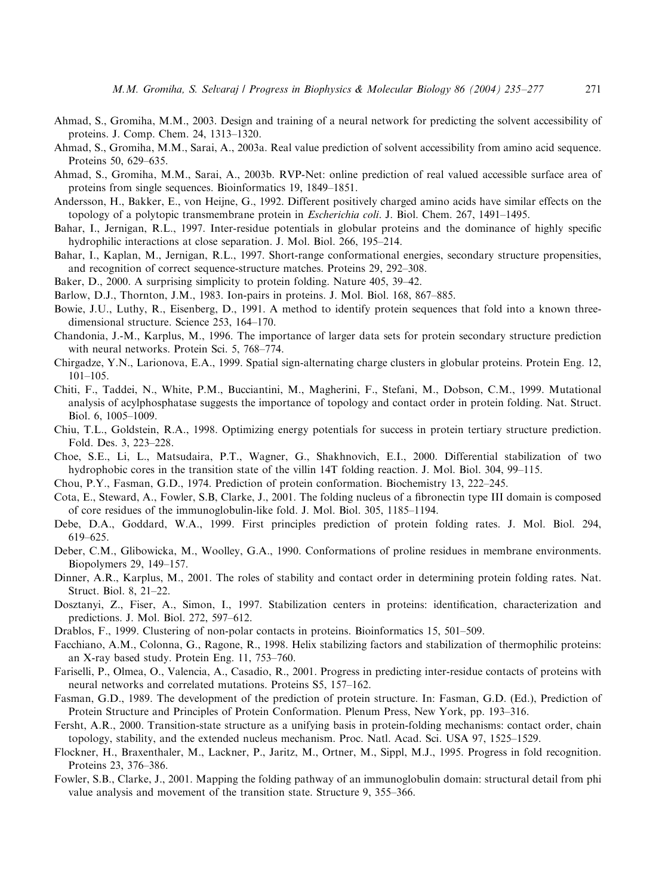- Ahmad, S., Gromiha, M.M., 2003. Design and training of a neural network for predicting the solvent accessibility of proteins. J. Comp. Chem. 24, 1313–1320.
- Ahmad, S., Gromiha, M.M., Sarai, A., 2003a. Real value prediction of solvent accessibility from amino acid sequence. Proteins 50, 629–635.
- Ahmad, S., Gromiha, M.M., Sarai, A., 2003b. RVP-Net: online prediction of real valued accessible surface area of proteins from single sequences. Bioinformatics 19, 1849–1851.
- Andersson, H., Bakker, E., von Heijne, G., 1992. Different positively charged amino acids have similar effects on the topology of a polytopic transmembrane protein in *Escherichia coli*. J. Biol. Chem. 267, 1491–1495.
- Bahar, I., Jernigan, R.L., 1997. Inter-residue potentials in globular proteins and the dominance of highly specific hydrophilic interactions at close separation. J. Mol. Biol. 266, 195–214.
- Bahar, I., Kaplan, M., Jernigan, R.L., 1997. Short-range conformational energies, secondary structure propensities, and recognition of correct sequence-structure matches. Proteins 29, 292–308.
- Baker, D., 2000. A surprising simplicity to protein folding. Nature 405, 39–42.
- Barlow, D.J., Thornton, J.M., 1983. Ion-pairs in proteins. J. Mol. Biol. 168, 867–885.
- Bowie, J.U., Luthy, R., Eisenberg, D., 1991. A method to identify protein sequences that fold into a known threedimensional structure. Science 253, 164–170.
- Chandonia, J.-M., Karplus, M., 1996. The importance of larger data sets for protein secondary structure prediction with neural networks. Protein Sci. 5, 768–774.
- Chirgadze, Y.N., Larionova, E.A., 1999. Spatial sign-alternating charge clusters in globular proteins. Protein Eng. 12, 101–105.
- Chiti, F., Taddei, N., White, P.M., Bucciantini, M., Magherini, F., Stefani, M., Dobson, C.M., 1999. Mutational analysis of acylphosphatase suggests the importance of topology and contact order in protein folding. Nat. Struct. Biol. 6, 1005–1009.
- Chiu, T.L., Goldstein, R.A., 1998. Optimizing energy potentials for success in protein tertiary structure prediction. Fold. Des. 3, 223–228.
- Choe, S.E., Li, L., Matsudaira, P.T., Wagner, G., Shakhnovich, E.I., 2000. Differential stabilization of two hydrophobic cores in the transition state of the villin 14T folding reaction. J. Mol. Biol. 304, 99–115.
- Chou, P.Y., Fasman, G.D., 1974. Prediction of protein conformation. Biochemistry 13, 222–245.
- Cota, E., Steward, A., Fowler, S.B, Clarke, J., 2001. The folding nucleus of a fibronectin type III domain is composed of core residues of the immunoglobulin-like fold. J. Mol. Biol. 305, 1185–1194.
- Debe, D.A., Goddard, W.A., 1999. First principles prediction of protein folding rates. J. Mol. Biol. 294, 619–625.
- Deber, C.M., Glibowicka, M., Woolley, G.A., 1990. Conformations of proline residues in membrane environments. Biopolymers 29, 149–157.
- Dinner, A.R., Karplus, M., 2001. The roles of stability and contact order in determining protein folding rates. Nat. Struct. Biol. 8, 21–22.
- Dosztanyi, Z., Fiser, A., Simon, I., 1997. Stabilization centers in proteins: identification, characterization and predictions. J. Mol. Biol. 272, 597–612.
- Drablos, F., 1999. Clustering of non-polar contacts in proteins. Bioinformatics 15, 501–509.
- Facchiano, A.M., Colonna, G., Ragone, R., 1998. Helix stabilizing factors and stabilization of thermophilic proteins: an X-ray based study. Protein Eng. 11, 753–760.
- Fariselli, P., Olmea, O., Valencia, A., Casadio, R., 2001. Progress in predicting inter-residue contacts of proteins with neural networks and correlated mutations. Proteins S5, 157–162.
- Fasman, G.D., 1989. The development of the prediction of protein structure. In: Fasman, G.D. (Ed.), Prediction of Protein Structure and Principles of Protein Conformation. Plenum Press, NewYork, pp. 193–316.
- Fersht, A.R., 2000. Transition-state structure as a unifying basis in protein-folding mechanisms: contact order, chain topology, stability, and the extended nucleus mechanism. Proc. Natl. Acad. Sci. USA 97, 1525–1529.
- Flockner, H., Braxenthaler, M., Lackner, P., Jaritz, M., Ortner, M., Sippl, M.J., 1995. Progress in fold recognition. Proteins 23, 376–386.
- Fowler, S.B., Clarke, J., 2001. Mapping the folding pathway of an immunoglobulin domain: structural detail from phi value analysis and movement of the transition state. Structure 9, 355–366.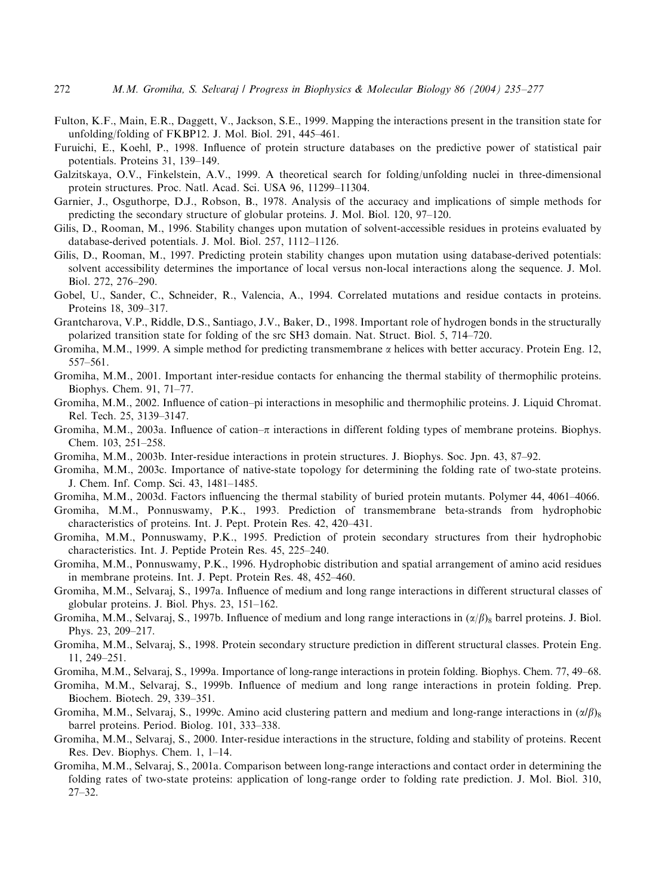- Fulton, K.F., Main, E.R., Daggett, V., Jackson, S.E., 1999. Mapping the interactions present in the transition state for unfolding/folding of FKBP12. J. Mol. Biol. 291, 445–461.
- Furuichi, E., Koehl, P., 1998. Influence of protein structure databases on the predictive power of statistical pair potentials. Proteins 31, 139–149.
- Galzitskaya, O.V., Finkelstein, A.V., 1999. A theoretical search for folding/unfolding nuclei in three-dimensional protein structures. Proc. Natl. Acad. Sci. USA 96, 11299–11304.
- Garnier, J., Osguthorpe, D.J., Robson, B., 1978. Analysis of the accuracy and implications of simple methods for predicting the secondary structure of globular proteins. J. Mol. Biol. 120, 97–120.
- Gilis, D., Rooman, M., 1996. Stability changes upon mutation of solvent-accessible residues in proteins evaluated by database-derived potentials. J. Mol. Biol. 257, 1112–1126.
- Gilis, D., Rooman, M., 1997. Predicting protein stability changes upon mutation using database-derived potentials: solvent accessibility determines the importance of local versus non-local interactions along the sequence. J. Mol. Biol. 272, 276–290.
- Gobel, U., Sander, C., Schneider, R., Valencia, A., 1994. Correlated mutations and residue contacts in proteins. Proteins 18, 309–317.
- Grantcharova, V.P., Riddle, D.S., Santiago, J.V., Baker, D., 1998. Important role of hydrogen bonds in the structurally polarized transition state for folding of the src SH3 domain. Nat. Struct. Biol. 5, 714–720.
- Gromiha, M.M., 1999. A simple method for predicting transmembrane  $\alpha$  helices with better accuracy. Protein Eng. 12, 557–561.
- Gromiha, M.M., 2001. Important inter-residue contacts for enhancing the thermal stability of thermophilic proteins. Biophys. Chem. 91, 71–77.
- Gromiha, M.M., 2002. Influence of cation–pi interactions in mesophilic and thermophilic proteins. J. Liquid Chromat. Rel. Tech. 25, 3139–3147.
- Gromiha, M.M., 2003a. Influence of cation– $\pi$  interactions in different folding types of membrane proteins. Biophys. Chem. 103, 251–258.
- Gromiha, M.M., 2003b. Inter-residue interactions in protein structures. J. Biophys. Soc. Jpn. 43, 87–92.
- Gromiha, M.M., 2003c. Importance of native-state topology for determining the folding rate of two-state proteins. J. Chem. Inf. Comp. Sci. 43, 1481–1485.
- Gromiha, M.M., 2003d. Factors influencing the thermal stability of buried protein mutants. Polymer 44, 4061–4066.
- Gromiha, M.M., Ponnuswamy, P.K., 1993. Prediction of transmembrane beta-strands from hydrophobic characteristics of proteins. Int. J. Pept. Protein Res. 42, 420–431.
- Gromiha, M.M., Ponnuswamy, P.K., 1995. Prediction of protein secondary structures from their hydrophobic characteristics. Int. J. Peptide Protein Res. 45, 225–240.
- Gromiha, M.M., Ponnuswamy, P.K., 1996. Hydrophobic distribution and spatial arrangement of amino acid residues in membrane proteins. Int. J. Pept. Protein Res. 48, 452–460.
- Gromiha, M.M., Selvaraj, S., 1997a. Influence of medium and long range interactions in different structural classes of globular proteins. J. Biol. Phys. 23, 151–162.
- Gromiha, M.M., Selvaraj, S., 1997b. Influence of medium and long range interactions in  $(\alpha/\beta)_8$  barrel proteins. J. Biol. Phys. 23, 209–217.
- Gromiha, M.M., Selvaraj, S., 1998. Protein secondary structure prediction in different structural classes. Protein Eng. 11, 249–251.
- Gromiha, M.M., Selvaraj, S., 1999a. Importance of long-range interactions in protein folding. Biophys. Chem. 77, 49–68.
- Gromiha, M.M., Selvaraj, S., 1999b. Influence of medium and long range interactions in protein folding. Prep. Biochem. Biotech. 29, 339–351.
- Gromiha, M.M., Selvaraj, S., 1999c. Amino acid clustering pattern and medium and long-range interactions in  $(\alpha/\beta)_8$ barrel proteins. Period. Biolog. 101, 333–338.
- Gromiha, M.M., Selvaraj, S., 2000. Inter-residue interactions in the structure, folding and stability of proteins. Recent Res. Dev. Biophys. Chem. 1, 1–14.
- Gromiha, M.M., Selvaraj, S., 2001a. Comparison between long-range interactions and contact order in determining the folding rates of two-state proteins: application of long-range order to folding rate prediction. J. Mol. Biol. 310, 27–32.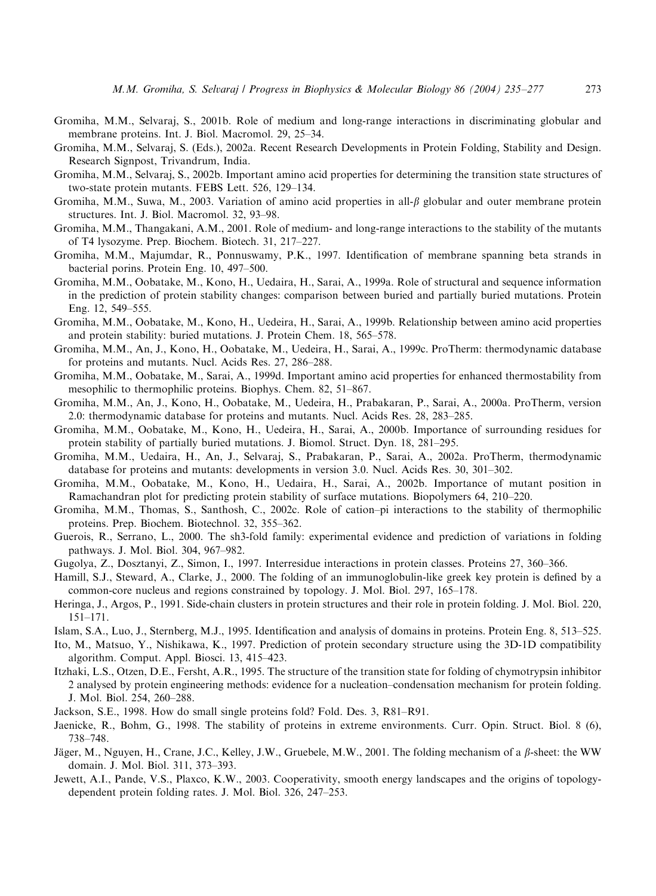- Gromiha, M.M., Selvaraj, S., 2001b. Role of medium and long-range interactions in discriminating globular and membrane proteins. Int. J. Biol. Macromol. 29, 25–34.
- Gromiha, M.M., Selvaraj, S. (Eds.), 2002a. Recent Research Developments in Protein Folding, Stability and Design. Research Signpost, Trivandrum, India.
- Gromiha, M.M., Selvaraj, S., 2002b. Important amino acid properties for determining the transition state structures of two-state protein mutants. FEBS Lett. 526, 129–134.
- Gromiha, M.M., Suwa, M., 2003. Variation of amino acid properties in all-b globular and outer membrane protein structures. Int. J. Biol. Macromol. 32, 93–98.
- Gromiha, M.M., Thangakani, A.M., 2001. Role of medium- and long-range interactions to the stability of the mutants of T4 lysozyme. Prep. Biochem. Biotech. 31, 217–227.
- Gromiha, M.M., Majumdar, R., Ponnuswamy, P.K., 1997. Identification of membrane spanning beta strands in bacterial porins. Protein Eng. 10, 497–500.
- Gromiha, M.M., Oobatake, M., Kono, H., Uedaira, H., Sarai, A., 1999a. Role of structural and sequence information in the prediction of protein stability changes: comparison between buried and partially buried mutations. Protein Eng. 12, 549–555.
- Gromiha, M.M., Oobatake, M., Kono, H., Uedeira, H., Sarai, A., 1999b. Relationship between amino acid properties and protein stability: buried mutations. J. Protein Chem. 18, 565–578.
- Gromiha, M.M., An, J., Kono, H., Oobatake, M., Uedeira, H., Sarai, A., 1999c. ProTherm: thermodynamic database for proteins and mutants. Nucl. Acids Res. 27, 286–288.
- Gromiha, M.M., Oobatake, M., Sarai, A., 1999d. Important amino acid properties for enhanced thermostability from mesophilic to thermophilic proteins. Biophys. Chem. 82, 51–867.
- Gromiha, M.M., An, J., Kono, H., Oobatake, M., Uedeira, H., Prabakaran, P., Sarai, A., 2000a. ProTherm, version 2.0: thermodynamic database for proteins and mutants. Nucl. Acids Res. 28, 283–285.
- Gromiha, M.M., Oobatake, M., Kono, H., Uedeira, H., Sarai, A., 2000b. Importance of surrounding residues for protein stability of partially buried mutations. J. Biomol. Struct. Dyn. 18, 281–295.
- Gromiha, M.M., Uedaira, H., An, J., Selvaraj, S., Prabakaran, P., Sarai, A., 2002a. ProTherm, thermodynamic database for proteins and mutants: developments in version 3.0. Nucl. Acids Res. 30, 301–302.
- Gromiha, M.M., Oobatake, M., Kono, H., Uedaira, H., Sarai, A., 2002b. Importance of mutant position in Ramachandran plot for predicting protein stability of surface mutations. Biopolymers 64, 210–220.
- Gromiha, M.M., Thomas, S., Santhosh, C., 2002c. Role of cation–pi interactions to the stability of thermophilic proteins. Prep. Biochem. Biotechnol. 32, 355–362.
- Guerois, R., Serrano, L., 2000. The sh3-fold family: experimental evidence and prediction of variations in folding pathways. J. Mol. Biol. 304, 967–982.
- Gugolya, Z., Dosztanyi, Z., Simon, I., 1997. Interresidue interactions in protein classes. Proteins 27, 360–366.
- Hamill, S.J., Steward, A., Clarke, J., 2000. The folding of an immunoglobulin-like greek key protein is defined by a common-core nucleus and regions constrained by topology. J. Mol. Biol. 297, 165–178.
- Heringa, J., Argos, P., 1991. Side-chain clusters in protein structures and their role in protein folding. J. Mol. Biol. 220, 151–171.
- Islam, S.A., Luo, J., Sternberg, M.J., 1995. Identification and analysis of domains in proteins. Protein Eng. 8, 513–525.
- Ito, M., Matsuo, Y., Nishikawa, K., 1997. Prediction of protein secondary structure using the 3D-1D compatibility algorithm. Comput. Appl. Biosci. 13, 415–423.
- Itzhaki, L.S., Otzen, D.E., Fersht, A.R., 1995. The structure of the transition state for folding of chymotrypsin inhibitor 2 analysed by protein engineering methods: evidence for a nucleation–condensation mechanism for protein folding. J. Mol. Biol. 254, 260–288.
- Jackson, S.E., 1998. How do small single proteins fold? Fold. Des. 3, R81–R91.
- Jaenicke, R., Bohm, G., 1998. The stability of proteins in extreme environments. Curr. Opin. Struct. Biol. 8 (6), 738–748.
- Jäger, M., Nguyen, H., Crane, J.C., Kelley, J.W., Gruebele, M.W., 2001. The folding mechanism of a  $\beta$ -sheet: the WW domain. J. Mol. Biol. 311, 373–393.
- Jewett, A.I., Pande, V.S., Plaxco, K.W., 2003. Cooperativity, smooth energy landscapes and the origins of topologydependent protein folding rates. J. Mol. Biol. 326, 247–253.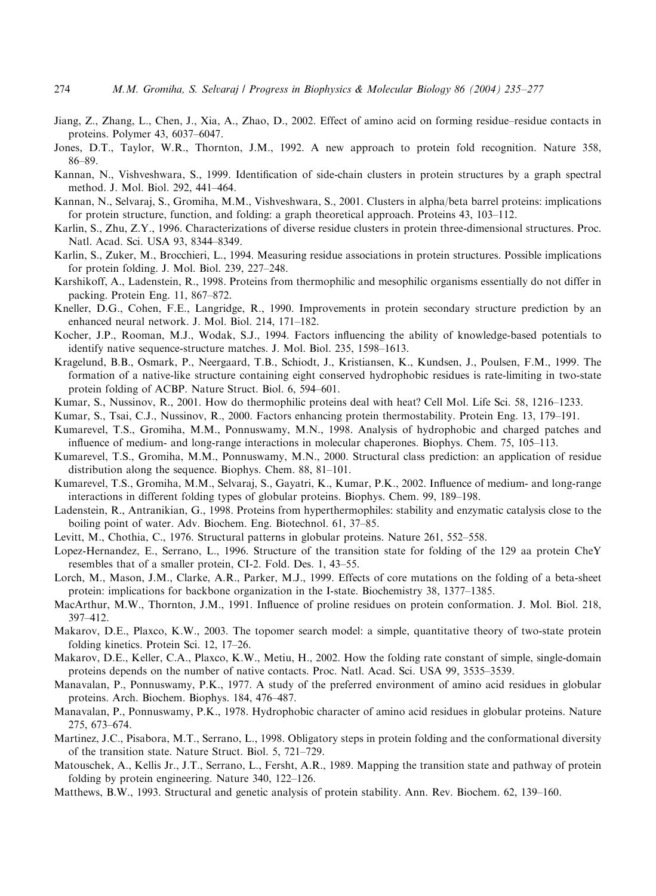- Jiang, Z., Zhang, L., Chen, J., Xia, A., Zhao, D., 2002. Effect of amino acid on forming residue–residue contacts in proteins. Polymer 43, 6037–6047.
- Jones, D.T., Taylor, W.R., Thornton, J.M., 1992. A newapproach to protein fold recognition. Nature 358, 86–89.
- Kannan, N., Vishveshwara, S., 1999. Identification of side-chain clusters in protein structures by a graph spectral method. J. Mol. Biol. 292, 441–464.
- Kannan, N., Selvaraj, S., Gromiha, M.M., Vishveshwara, S., 2001. Clusters in alpha/beta barrel proteins: implications for protein structure, function, and folding: a graph theoretical approach. Proteins 43, 103–112.
- Karlin, S., Zhu, Z.Y., 1996. Characterizations of diverse residue clusters in protein three-dimensional structures. Proc. Natl. Acad. Sci. USA 93, 8344–8349.
- Karlin, S., Zuker, M., Brocchieri, L., 1994. Measuring residue associations in protein structures. Possible implications for protein folding. J. Mol. Biol. 239, 227–248.
- Karshikoff, A., Ladenstein, R., 1998. Proteins from thermophilic and mesophilic organisms essentially do not differ in packing. Protein Eng. 11, 867–872.
- Kneller, D.G., Cohen, F.E., Langridge, R., 1990. Improvements in protein secondary structure prediction by an enhanced neural network. J. Mol. Biol. 214, 171–182.
- Kocher, J.P., Rooman, M.J., Wodak, S.J., 1994. Factors influencing the ability of knowledge-based potentials to identify native sequence-structure matches. J. Mol. Biol. 235, 1598–1613.
- Kragelund, B.B., Osmark, P., Neergaard, T.B., Schiodt, J., Kristiansen, K., Kundsen, J., Poulsen, F.M., 1999. The formation of a native-like structure containing eight conserved hydrophobic residues is rate-limiting in two-state protein folding of ACBP. Nature Struct. Biol. 6, 594–601.
- Kumar, S., Nussinov, R., 2001. How do thermophilic proteins deal with heat? Cell Mol. Life Sci. 58, 1216–1233.
- Kumar, S., Tsai, C.J., Nussinov, R., 2000. Factors enhancing protein thermostability. Protein Eng. 13, 179–191.
- Kumarevel, T.S., Gromiha, M.M., Ponnuswamy, M.N., 1998. Analysis of hydrophobic and charged patches and influence of medium- and long-range interactions in molecular chaperones. Biophys. Chem. 75, 105–113.
- Kumarevel, T.S., Gromiha, M.M., Ponnuswamy, M.N., 2000. Structural class prediction: an application of residue distribution along the sequence. Biophys. Chem. 88, 81–101.
- Kumarevel, T.S., Gromiha, M.M., Selvaraj, S., Gayatri, K., Kumar, P.K., 2002. Influence of medium- and long-range interactions in different folding types of globular proteins. Biophys. Chem. 99, 189–198.
- Ladenstein, R., Antranikian, G., 1998. Proteins from hyperthermophiles: stability and enzymatic catalysis close to the boiling point of water. Adv. Biochem. Eng. Biotechnol. 61, 37–85.
- Levitt, M., Chothia, C., 1976. Structural patterns in globular proteins. Nature 261, 552–558.
- Lopez-Hernandez, E., Serrano, L., 1996. Structure of the transition state for folding of the 129 aa protein CheY resembles that of a smaller protein, CI-2. Fold. Des. 1, 43–55.
- Lorch, M., Mason, J.M., Clarke, A.R., Parker, M.J., 1999. Effects of core mutations on the folding of a beta-sheet protein: implications for backbone organization in the I-state. Biochemistry 38, 1377–1385.
- MacArthur, M.W., Thornton, J.M., 1991. Influence of proline residues on protein conformation. J. Mol. Biol. 218, 397–412.
- Makarov, D.E., Plaxco, K.W., 2003. The topomer search model: a simple, quantitative theory of two-state protein folding kinetics. Protein Sci. 12, 17–26.
- Makarov, D.E., Keller, C.A., Plaxco, K.W., Metiu, H., 2002. How the folding rate constant of simple, single-domain proteins depends on the number of native contacts. Proc. Natl. Acad. Sci. USA 99, 3535–3539.
- Manavalan, P., Ponnuswamy, P.K., 1977. A study of the preferred environment of amino acid residues in globular proteins. Arch. Biochem. Biophys. 184, 476–487.
- Manavalan, P., Ponnuswamy, P.K., 1978. Hydrophobic character of amino acid residues in globular proteins. Nature 275, 673–674.
- Martinez, J.C., Pisabora, M.T., Serrano, L., 1998. Obligatory steps in protein folding and the conformational diversity of the transition state. Nature Struct. Biol. 5, 721–729.
- Matouschek, A., Kellis Jr., J.T., Serrano, L., Fersht, A.R., 1989. Mapping the transition state and pathway of protein folding by protein engineering. Nature 340, 122–126.
- Matthews, B.W., 1993. Structural and genetic analysis of protein stability. Ann. Rev. Biochem. 62, 139–160.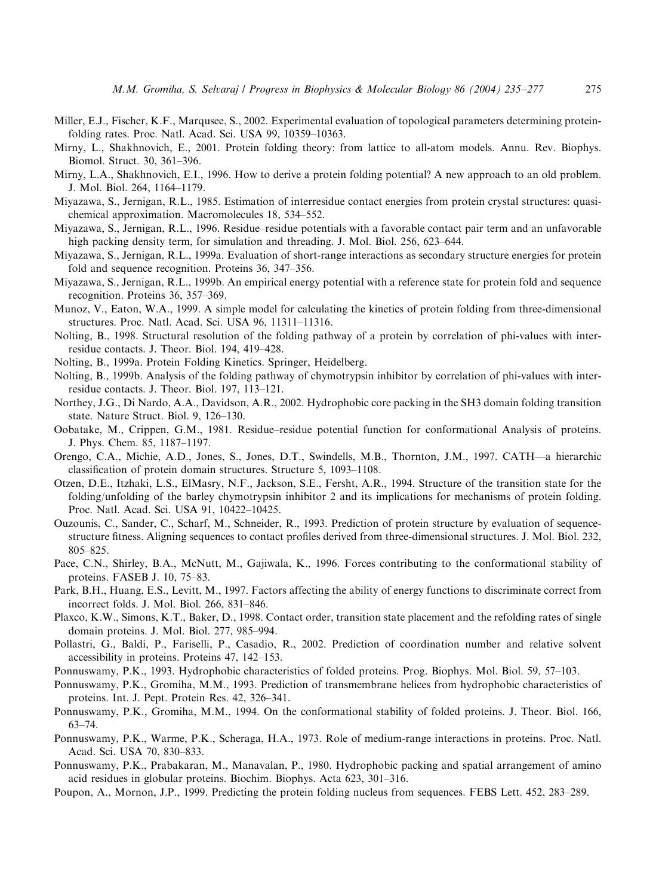- Miller, E.J., Fischer, K.F., Marqusee, S., 2002. Experimental evaluation of topological parameters determining proteinfolding rates. Proc. Natl. Acad. Sci. USA 99, 10359–10363.
- Mirny, L., Shakhnovich, E., 2001. Protein folding theory: from lattice to all-atom models. Annu. Rev. Biophys. Biomol. Struct. 30, 361–396.
- Mirny, L.A., Shakhnovich, E.I., 1996. How to derive a protein folding potential? A new approach to an old problem. J. Mol. Biol. 264, 1164–1179.
- Miyazawa, S., Jernigan, R.L., 1985. Estimation of interresidue contact energies from protein crystal structures: quasichemical approximation. Macromolecules 18, 534–552.
- Miyazawa, S., Jernigan, R.L., 1996. Residue–residue potentials with a favorable contact pair term and an unfavorable high packing density term, for simulation and threading. J. Mol. Biol. 256, 623–644.
- Miyazawa, S., Jernigan, R.L., 1999a. Evaluation of short-range interactions as secondary structure energies for protein fold and sequence recognition. Proteins 36, 347–356.
- Miyazawa, S., Jernigan, R.L., 1999b. An empirical energy potential with a reference state for protein fold and sequence recognition. Proteins 36, 357–369.
- Munoz, V., Eaton, W.A., 1999. A simple model for calculating the kinetics of protein folding from three-dimensional structures. Proc. Natl. Acad. Sci. USA 96, 11311–11316.
- Nolting, B., 1998. Structural resolution of the folding pathway of a protein by correlation of phi-values with interresidue contacts. J. Theor. Biol. 194, 419–428.
- Nolting, B., 1999a. Protein Folding Kinetics. Springer, Heidelberg.
- Nolting, B., 1999b. Analysis of the folding pathway of chymotrypsin inhibitor by correlation of phi-values with interresidue contacts. J. Theor. Biol. 197, 113–121.
- Northey, J.G., Di Nardo, A.A., Davidson, A.R., 2002. Hydrophobic core packing in the SH3 domain folding transition state. Nature Struct. Biol. 9, 126–130.
- Oobatake, M., Crippen, G.M., 1981. Residue–residue potential function for conformational Analysis of proteins. J. Phys. Chem. 85, 1187–1197.
- Orengo, C.A., Michie, A.D., Jones, S., Jones, D.T., Swindells, M.B., Thornton, J.M., 1997. CATH—a hierarchic classification of protein domain structures. Structure 5, 1093–1108.
- Otzen, D.E., Itzhaki, L.S., ElMasry, N.F., Jackson, S.E., Fersht, A.R., 1994. Structure of the transition state for the folding/unfolding of the barley chymotrypsin inhibitor 2 and its implications for mechanisms of protein folding. Proc. Natl. Acad. Sci. USA 91, 10422–10425.
- Ouzounis, C., Sander, C., Scharf, M., Schneider, R., 1993. Prediction of protein structure by evaluation of sequencestructure fitness. Aligning sequences to contact profiles derived from three-dimensional structures. J. Mol. Biol. 232, 805–825.
- Pace, C.N., Shirley, B.A., McNutt, M., Gajiwala, K., 1996. Forces contributing to the conformational stability of proteins. FASEB J. 10, 75–83.
- Park, B.H., Huang, E.S., Levitt, M., 1997. Factors affecting the ability of energy functions to discriminate correct from incorrect folds. J. Mol. Biol. 266, 831–846.
- Plaxco, K.W., Simons, K.T., Baker, D., 1998. Contact order, transition state placement and the refolding rates of single domain proteins. J. Mol. Biol. 277, 985–994.
- Pollastri, G., Baldi, P., Fariselli, P., Casadio, R., 2002. Prediction of coordination number and relative solvent accessibility in proteins. Proteins 47, 142–153.
- Ponnuswamy, P.K., 1993. Hydrophobic characteristics of folded proteins. Prog. Biophys. Mol. Biol. 59, 57–103.
- Ponnuswamy, P.K., Gromiha, M.M., 1993. Prediction of transmembrane helices from hydrophobic characteristics of proteins. Int. J. Pept. Protein Res. 42, 326–341.
- Ponnuswamy, P.K., Gromiha, M.M., 1994. On the conformational stability of folded proteins. J. Theor. Biol. 166, 63–74.
- Ponnuswamy, P.K., Warme, P.K., Scheraga, H.A., 1973. Role of medium-range interactions in proteins. Proc. Natl. Acad. Sci. USA 70, 830–833.
- Ponnuswamy, P.K., Prabakaran, M., Manavalan, P., 1980. Hydrophobic packing and spatial arrangement of amino acid residues in globular proteins. Biochim. Biophys. Acta 623, 301–316.
- Poupon, A., Mornon, J.P., 1999. Predicting the protein folding nucleus from sequences. FEBS Lett. 452, 283–289.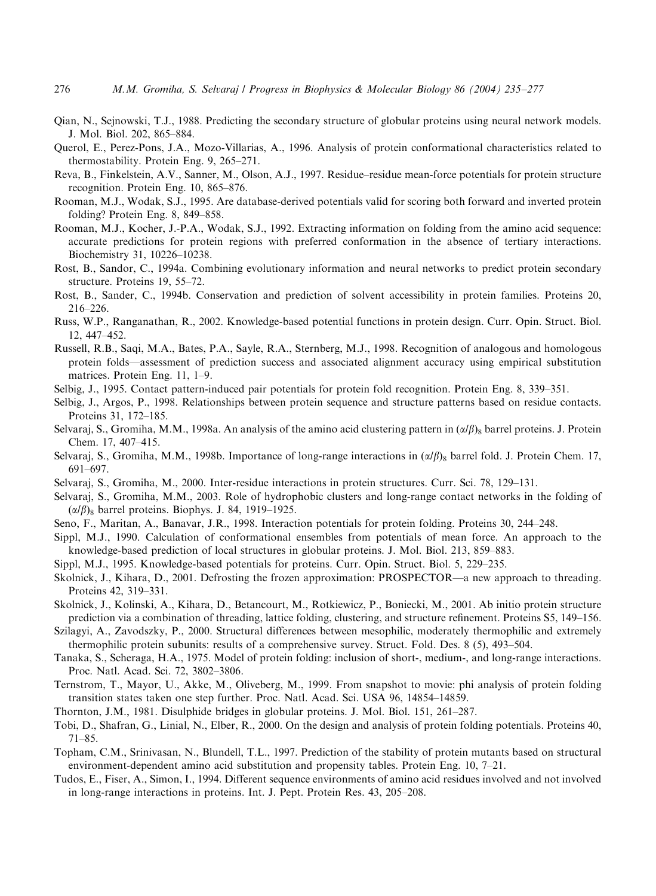- 276 *M.M. Gromiha, S. Selvaraj / Progress in Biophysics & Molecular Biology 86 (2004) 235–277*
- Qian, N., Sejnowski, T.J., 1988. Predicting the secondary structure of globular proteins using neural network models. J. Mol. Biol. 202, 865–884.
- Querol, E., Perez-Pons, J.A., Mozo-Villarias, A., 1996. Analysis of protein conformational characteristics related to thermostability. Protein Eng. 9, 265–271.
- Reva, B., Finkelstein, A.V., Sanner, M., Olson, A.J., 1997. Residue–residue mean-force potentials for protein structure recognition. Protein Eng. 10, 865–876.
- Rooman, M.J., Wodak, S.J., 1995. Are database-derived potentials valid for scoring both forward and inverted protein folding? Protein Eng. 8, 849–858.
- Rooman, M.J., Kocher, J.-P.A., Wodak, S.J., 1992. Extracting information on folding from the amino acid sequence: accurate predictions for protein regions with preferred conformation in the absence of tertiary interactions. Biochemistry 31, 10226–10238.
- Rost, B., Sandor, C., 1994a. Combining evolutionary information and neural networks to predict protein secondary structure. Proteins 19, 55–72.
- Rost, B., Sander, C., 1994b. Conservation and prediction of solvent accessibility in protein families. Proteins 20, 216–226.
- Russ, W.P., Ranganathan, R., 2002. Knowledge-based potential functions in protein design. Curr. Opin. Struct. Biol. 12, 447–452.
- Russell, R.B., Saqi, M.A., Bates, P.A., Sayle, R.A., Sternberg, M.J., 1998. Recognition of analogous and homologous protein folds—assessment of prediction success and associated alignment accuracy using empirical substitution matrices. Protein Eng. 11, 1–9.
- Selbig, J., 1995. Contact pattern-induced pair potentials for protein fold recognition. Protein Eng. 8, 339–351.
- Selbig, J., Argos, P., 1998. Relationships between protein sequence and structure patterns based on residue contacts. Proteins 31, 172–185.
- Selvaraj, S., Gromiha, M.M., 1998a. An analysis of the amino acid clustering pattern in  $(\alpha/\beta)_8$  barrel proteins. J. Protein Chem. 17, 407–415.
- Selvaraj, S., Gromiha, M.M., 1998b. Importance of long-range interactions in  $(\alpha/\beta)_8$  barrel fold. J. Protein Chem. 17, 691–697.
- Selvaraj, S., Gromiha, M., 2000. Inter-residue interactions in protein structures. Curr. Sci. 78, 129–131.
- Selvaraj, S., Gromiha, M.M., 2003. Role of hydrophobic clusters and long-range contact networks in the folding of  $(\alpha/\beta)_8$  barrel proteins. Biophys. J. 84, 1919–1925.
- Seno, F., Maritan, A., Banavar, J.R., 1998. Interaction potentials for protein folding. Proteins 30, 244–248.
- Sippl, M.J., 1990. Calculation of conformational ensembles from potentials of mean force. An approach to the knowledge-based prediction of local structures in globular proteins. J. Mol. Biol. 213, 859–883.
- Sippl, M.J., 1995. Knowledge-based potentials for proteins. Curr. Opin. Struct. Biol. 5, 229–235.
- Skolnick, J., Kihara, D., 2001. Defrosting the frozen approximation: PROSPECTOR—a newapproach to threading. Proteins 42, 319–331.
- Skolnick, J., Kolinski, A., Kihara, D., Betancourt, M., Rotkiewicz, P., Boniecki, M., 2001. Ab initio protein structure prediction via a combination of threading, lattice folding, clustering, and structure refinement. Proteins S5, 149–156.
- Szilagyi, A., Zavodszky, P., 2000. Structural differences between mesophilic, moderately thermophilic and extremely thermophilic protein subunits: results of a comprehensive survey. Struct. Fold. Des. 8 (5), 493–504.
- Tanaka, S., Scheraga, H.A., 1975. Model of protein folding: inclusion of short-, medium-, and long-range interactions. Proc. Natl. Acad. Sci. 72, 3802–3806.
- Ternstrom, T., Mayor, U., Akke, M., Oliveberg, M., 1999. From snapshot to movie: phi analysis of protein folding transition states taken one step further. Proc. Natl. Acad. Sci. USA 96, 14854–14859.
- Thornton, J.M., 1981. Disulphide bridges in globular proteins. J. Mol. Biol. 151, 261–287.
- Tobi, D., Shafran, G., Linial, N., Elber, R., 2000. On the design and analysis of protein folding potentials. Proteins 40, 71–85.
- Topham, C.M., Srinivasan, N., Blundell, T.L., 1997. Prediction of the stability of protein mutants based on structural environment-dependent amino acid substitution and propensity tables. Protein Eng. 10, 7–21.
- Tudos, E., Fiser, A., Simon, I., 1994. Different sequence environments of amino acid residues involved and not involved in long-range interactions in proteins. Int. J. Pept. Protein Res. 43, 205–208.